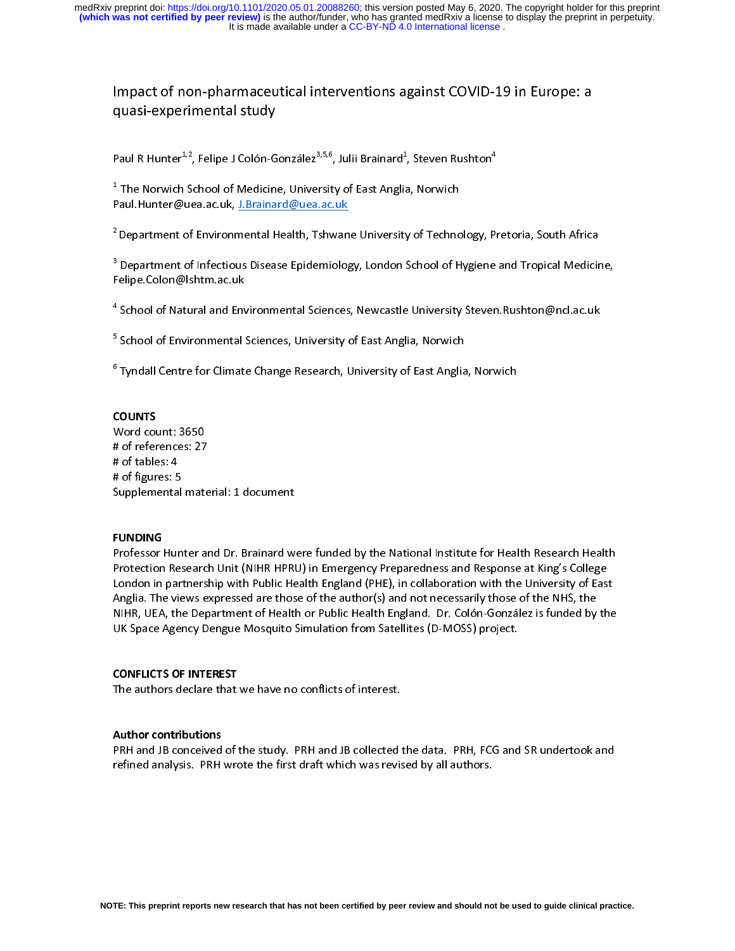### Impact of non-pharmaceutical interventions against COVID-19 in Europe: a quasi-experimental study

|<br>| |<br>|<br>| Paul R Hunter<sup>1,2</sup>, Felipe J Colón-González<sup>3,5,6</sup>, Julii Brainard<sup>1</sup>, Steven Rushton<sup>4</sup>

<sup>1</sup> The Norwich School of Medicine, University of East Anglia, Norwich 1<br>| Paul. Hunter@uea.ac.uk, J.Brainard@uea.ac.uk

<sup>2</sup> Department of Environmental Health, Tshwane University of Technology, Pretoria, South Africa  $\frac{2}{\pi}$ 

\*Department of Environmental Health, Tshwane University of Technology, Pretoria, South Africa<br><sup>3</sup> Department of Infectious Disease Epidemiology, London School of Hygiene and Tropical Medicir a<br>F Performation of Infectious Disease Epidemiology, London School of Hygiene and Tropical Medicine, Tropical Medicine, Tropical Medicine, Tropical Medicine, Tropical Medicine, Tropical Medicine, Tropical Medicine, Tropical Me

a school of Natural and Env  $\ddot{\phantom{0}}$ 

School of Environmental Sciences, University of East Anglia, Norwich  $\ddot{\phantom{0}}$ 

ر السلم المسيني المسيني في المسيني والمسيني .<br>Tyndall Centre for Climate Change Research, University of East Anglia <sup>6</sup>  $\epsilon$ Tyndall Centre for Climate Change Research, University of East Anglia, Norwich

# $\ddot{\phantom{0}}$

 $\frac{1}{\sqrt{2}}$ Word count: 3650 # of references: 27<br># of tables: 4 " = " = " = " = " = "<br># of tables: 4<br># of figures: 5 "<br># of figures: 5<br>Supplementa Supplemental material: 1 document

## Supplemental material: 1 document |<br>|

|<br>|<br>| Professor Hunter and Dr. Brainard were funded by the National Institute for Health Research Health Protection Research Unit (NIHR HPRU) in Emergency Preparedness and Response at King's College<br>London in partnership with Public Health England (PHE), in collaboration with the University of East Anglia. The views expressed are those of the author(s) and not necessarily those of the NHS, the Anglia. The views expressed are those of the author(s) and not necessarily those of the NHS, the<br>NIHR, UEA, the Department of Health or Public Health England. Dr. Colón-González is funded by the UHR, UEA, the Department of Health or Public Health England. Dr. Colón-González is funded by<br>UK Space Agency Dengue Mosquito Simulation from Satellites (D-MOSS) project. UK Space Agency Dengue Mosquito Simulation from Satellites (D-MOSS) project. UK Space Agency Dengue Mosquito Simulation from Satellites (D-MOSS) project.

## $\ddot{\phantom{0}}$  $\frac{1}{1}$

**CONFLICTS OF INTEREST**<br>The authors declare that we have no conflicts of interest.

# $\overline{1}$

,<br>| Author contributions<br>PRH and JB conceived of the study. PRH and JB collected the data. PRH, FCG and SR undertook and refined analysis. PRH wrote the first draft which was revised by all authors. refined analysis. PRH wrote the first draft which was revised by all authors.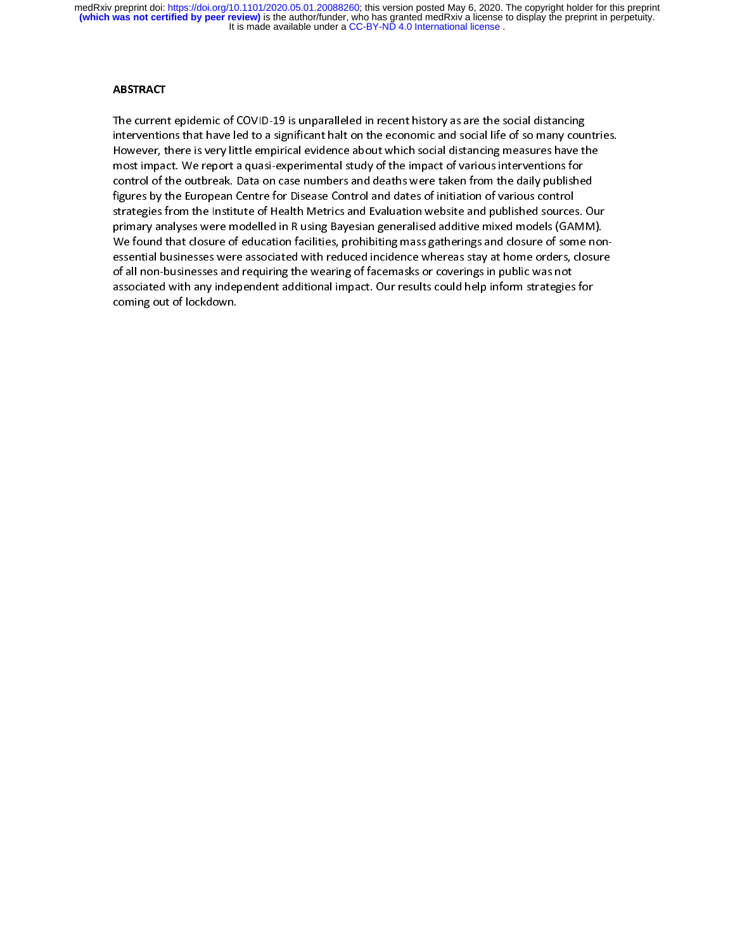$\frac{1}{1}$ The current epidemic of COVID-19 is unparalleled in recent history as are the social distancing<br>interventions that have led to a significant halt on the economic and social life of so many countries.<br>However, there is very interventions that have led to a significant halt endout which social distancing measures have the<br>However, there is very little empirical evidence about which social distancing measures have the<br>most impact. We report a q most impact. We report a quasi-experimental study of the impact of various interventions for<br>control of the outbreak. Data on case numbers and deaths were taken from the daily published control of the outbreak. Data on case numbers and deaths were taken from the daily published<br>figures by the European Centre for Disease Control and dates of initiation of various control control of the outbreak. Data on the outbreaks control and dates of initiation of various control<br>strategies from the Institute of Health Metrics and Evaluation website and published sources. O figures by the European Centre of Health Metrics and Evaluation website and published source:<br>primary analyses were modelled in R using Bayesian generalised additive mixed models (GAI primary analyses were modelled in R using Bayesian generalised additive mixed models (GAMM).<br>We found that closure of education facilities, prohibiting mass gatherings and closure of some nonessential businesses were associated with reduced incidence whereas stay at home orders, closure of all non-businesses and requiring the wearing of facemasks or coverings in public was not essential businesses and requiring the wearing of facemasks or coverings in public was not<br>of all non-businesses and requiring the wearing of facemasks or coverings in public was not<br>associated with any independent additio associated with any independent additional impact. Our results could help inform strategies<br>coming out of lockdown. coming out of lockdown. coming out of lockdown.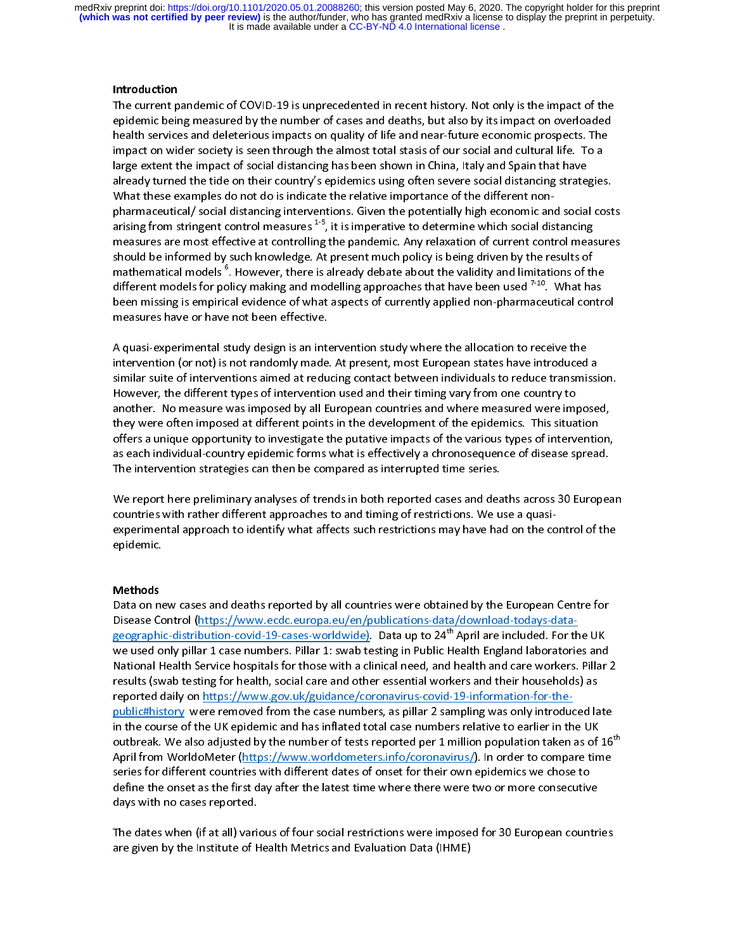### Introduction

The current pandemic of COVID-19 is unprecedented in recent history. Not only is the impact of the epidemic being measured by the number of cases and deaths, but also by its impact on overloaded<br>health services and deleterious impacts on quality of life and near-future economic prospects. The impact on wider society is seen through the almost total stasis of our social and cultural life. To a health services and deleterious impacts on quality of life and near-future economic prospects. The<br>impact on wider society is seen through the almost total stasis of our social and cultural life. To a<br>large extent the impa inge extent the impact of social distancing has been shown in China, Italy and Spain that have<br>already turned the tide on their country's epidemics using often severe social distancing strategies already turned the tide on their country's epidemics using often severe social distancing strategies.<br>What these examples do not do is indicate the relative importance of the different nonpharmaceutical/ social distancing interventions. Given the potentially high economic and social costs .<br>arising from stringent control measures <sup>1-5</sup>, it is imperative to determine which social distancing<br>measures are most effective at controlling the pandemic. Any relaxation of current control measures measures are most effective at controlling the pandemic. Any relaxation of current control measures<br>should be informed by such knowledge. At present much policy is being driven by the results of should be informed by such knowledge. At present much policy is being driven by the results of<br>mathematical models <sup>6</sup>. However, there is already debate about the validity and limitations of the show a showledge in formed by such the informed policy is at present much policy in the results of the rest mathematical models <sup>6</sup>. However, there is already debate about the validity and limitations of the different mode different models for policy making and modelling approaches that have been used  $7-10$ . What has different models for policy making and modelling approaches that have been used <sup>7-10</sup>. What has<br>been missing is empirical evidence of what aspects of currently applied non-pharmaceutical contro<br>measures have or have not b measures have or have not been effective.

A quasi-experimental study design is an intervention study where the allocation to receive the  $\frac{1}{1}$ intervention (or not) is not randomly made. At present, most European states have introduced a<br>similar suite of interventions aimed at reducing contact between individuals to reduce transmissi<br>However, the different types similar suite of interventions aimed at reducing contact between individuals to reduce transmission. another. No measure was imposed by all European countries and where measured were imposed, However, the different types of intervention and their timing vary from one country to<br>another. No measure was imposed by all European countries and where measured were imp<br>they were often imposed at different points in th they were often imposed at different points in the development of the epidemics. This situation<br>offers a unique opportunity to investigate the putative impacts of the various types of intervention, offers a unique opportunity to investigate the putative impacts of the various types of intervention, as each individual-country epidemic forms what is effectively a chronosequence of disease spread. The intervention strategies can then be compared as interrupted time series.

We report here preliminary analyses of trends in both reported cases and deaths across 30 European<br>countries with rather different approaches to and timing of restrictions. We use a quasi- $\frac{1}{2}$ experimental approach to identify what affects such restrictions may have had on the control of the epidemic. countries with rather different approaches to and timing of restrictions. We use a quasiexperimental approach to identify what affects such restrictions may have had on the control of the<br>epidemic. epidemic.

# $\overline{1}$

ו<br>ו Methods<br>Data on new cases and deaths reported by all countries were obtained by the European Centre for<br>Disease Control (https://www.ecdc.europa.eu/en/publications-data/download-todays-datageographic-distribution-covid-19-cases-worldwide). Data up to 24<sup>th</sup> April are included. For the UK we used only pillar 1 case numbers. Pillar 1: swab testing in Public Health England laboratori $\epsilon$ geographic-distribution-covid-19-cases-worldwide). Data up to 24"' April are included. For the UK<br>we used only pillar 1 case numbers. Pillar 1: swab testing in Public Health England laboratories and<br>National Health Servic National Health Service hospitals for those with a clinical need, and health and care workers. Pillar 2<br>results (swab testing for health, social care and other essential workers and their households) as<br>reported daily on h results (swab testing for health, social care and other essential workers and their households) as public#history were removed from the case numbers, as pillar 2 sampling was only introduced late <u>removed as</u> a coronavirus-coronavirus-coronavirus-coronavirus-coronavirus-coronavirus-coronavirus-<br>in the course of the UK epidemic and has inflated total case numbers relative to earlier in the UK<br>outbreak. We also adjus outbreak. We also adjusted by the number of tests reported per 1 million population taken as of 16<sup>th</sup><br>April from WorldoMeter (https://www.worldometers.info/coronavirus/). In order to compare time outbreak. We also adjusted by the number of tests reported per 1 million population taken as of 16"<br>April from WorldoMeter (<u>https://www.worldometers.info/coronavirus/</u>). In order to compare time<br>series for different count Approximate the Coronavirus Coronavirus Coronavirus Coronavirus Coronavirus Coronavirus Coronavirus Series for different countries with different dates of onset for their own epidemics we chose to define the onset as the f define the onset as the first day after the latest time where there were two or more consecutive<br>days with no cases reported. days with no cases reported.  $\int$  and  $\int$  and  $\int$  after the latest time where  $\int$  more consecutive  $\int$  more consecutive  $\int$  more consecutive  $\int$  more consecutive  $\int$  more consecutive  $\int$  more consecutive  $\int$  more

The dates when (if at all) various of four social restrictions were imposed for 30 European countries ا<br>; are given by the Institute of Health Metrics and Evaluation Data (IHME) are given by the Institute of Health Metrics and Evaluation Data (IHME).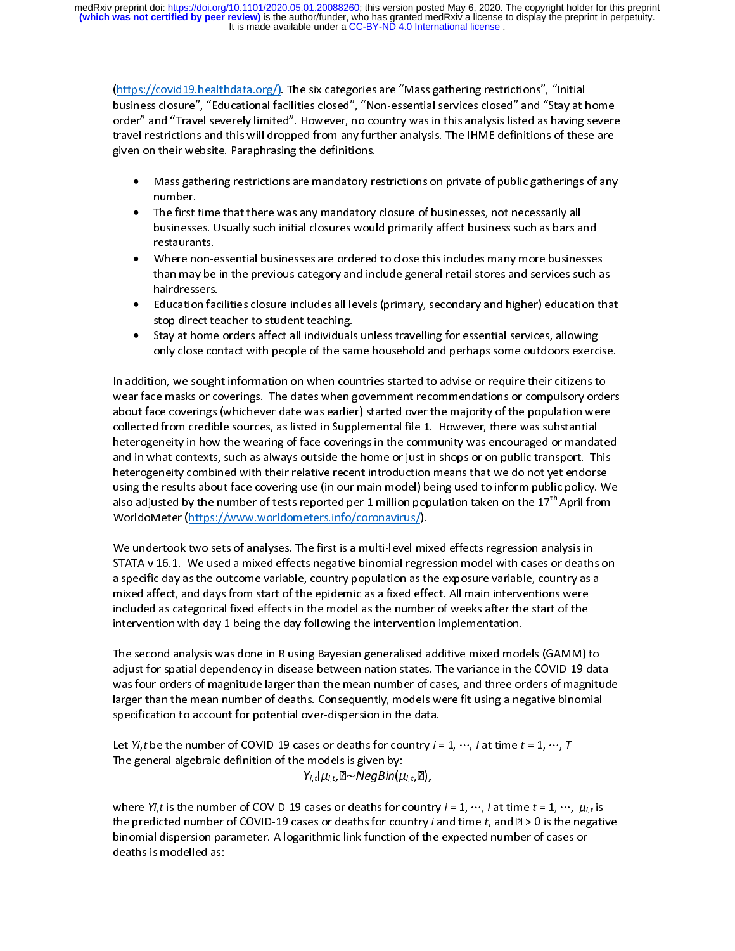(https://covid19.healthdata.org/). The six categories are "Mass gathering restrictions", "Initial<br>business closure", "Educational facilities closed", "Non-essential services closed" and "Stay at home order" and "Travel severely limited". However, no country was in this analysis listed as having severe travel restrictions and this will dropped from any further analysis. The IHME definitions of these are given on their website. Paraphrasing the definitions.

- Mass gathering restrictions are mandatory restrictions on private of public gatherings of any • Mass gathering restrictions are manufactly restrictions on private or public gatherings of any<br>number.<br>The first time that there was any mandatory closure of businesses, not necessarily all
- The first<br>businesse • businesses. Usually such initial closures would primarily affect business such as bars and<br>restaurants.
- businesses. Is such initial closure in the primarily affect business such a bars and<br>restaurants.<br>Where non-essential businesses are ordered to close this includes many more businesse. restaurants.<br>Where non-e<br>than may be • than may be in the previous category and include general retail stores and services such as<br>hairdressers. than may be in the previous category and include general retail stores and correct cathods<br>hairdressers.<br>Education facilities closure includes all levels (primary, secondary and higher) education tha
- hammersers.<br>Education fac<br>stop direct te •
- stop direct teacher to student teaching.<br>Stay at home orders affect all individuals unless travelling for essential services, allowing stay at home orders affect all individuals<br>Stay at home orders affect all individuals<br>only close contact with people of the sar • Stay at home orders an experimental and state and safegue of the services, and they are expected only close contact with people of the same household and perhaps some outdoors exerci-

In addition, we sought information on when countries started to advise or require their citizens to  $\frac{1}{2}$ wear face masks or coverings. The dates when government recommendations or compulsory orders<br>about face coverings (whichever date was earlier) started over the majority of the population were wear face coverings. The dates when government recommendations or computery orders<br>about face coverings (whichever date was earlier) started over the majority of the population were<br>collected from credible sources, as list collected from credible sources, as listed in Supplemental file 1. However, there was substantial<br>heterogeneity in how the wearing of face coverings in the community was encouraged or mandated heterogeneity in how the wearing of face coverings in the community was encouraged or manda<br>and in what contexts, such as always outside the home or just in shops or on public transport. Th and in what contexts, such as always outside the home or just in shops or on public transport. This<br>heterogeneity combined with their relative recent introduction means that we do not yet endorse heterogeneity combined with their relative recent introduction means that we do not yet endorse<br>using the results about face covering use (in our main model) being used to inform public policy. We using the results about face covering use (in our main model) being used to inform public policy. W<br>also adjusted by the number of tests reported per 1 million population taken on the 17<sup>th</sup> April from also adjusted by the number of tests reported per 1 million population taken on the 17<sup>th</sup> April from<br>WorldoMeter (https://www.worldometers.info/coronavirus/).

WorldoMeter (https://www.worldometers.info/coronavirus/).<br>We undertook two sets of analyses. The first is a multi-level mixed effects regression analysis in<br>STATA v 16.1. We used a mixed effects negative binomial regressio ا<br>؟ a specific day as the outcome variable, country population as the exposure variable, country as a STATA V 16.1. We use a minimum of the minimum regression model with cases in the country as a<br>a specific day as the outcome variable, country population as the exposure variable, country as a<br>mixed affect, and days from st a specific day as the outcome variable, country population as a fixed effect. All main interventions were<br>included as categorical fixed effects in the model as the number of weeks after the start of the included as categorical fixed effects in the model as the number of weeks after the start of the intervention with day 1 being the day following the intervention implementation.

The second analysis was done in R using Bayesian generalised additive mixed models (GAMM) to ا<br>; adjust for spatial dependency in disease between nation states. The variance in the COVID-19 data<br>was four orders of magnitude larger than the mean number of cases, and three orders of magnitude adjust for spatial dependency in disease between nationalism the variance in the variance in the distribution<br>was four orders of magnitude larger than the mean number of cases, and three orders of magnitud<br>larger than the was four orders of magnitude larger than the mean number of states, and the consideration magnitude larger than the mean number of deaths. Consequently, models were fit using a negative binomial specification to account fo specification to account for potential over-dispersion in the data.

Let Yi,t be the number of COVID-19 cases or deaths for country  $i = 1, \dots, l$  at time  $t = 1, \dots, T$  $\frac{1}{1}$ The general algebraic definition of the models is given by:  $Y_{i,t}|\mu_{i,t}$  algebraic definition of the models is  $Y_{i,t}|\mu_{i,t}$ ,  $\mathbb{E}$   $\sim$   $NegBin(\mu_{i,t}$ ,  $\mathbb{E})$ ,

۱<br>t where Yi,t is the number of COVID-19 cases or deaths for country  $i = 1, \dots, l$  at time  $t = 1, \dots, \mu_{i,t}$  is<br>the predicted number of COVID-19 cases or deaths for country  $i$  and time  $t$ , and  $\mathbb{Z} > 0$  is the negative<br>binom binomial dispersion parameter. A logarithmic link function of the expected number of cases or binding the experiment of the expected number of the expected number of the expected number of the expected number of cases of cases of cases of cases of cases of cases of cases of cases of cases of cases of cases of cases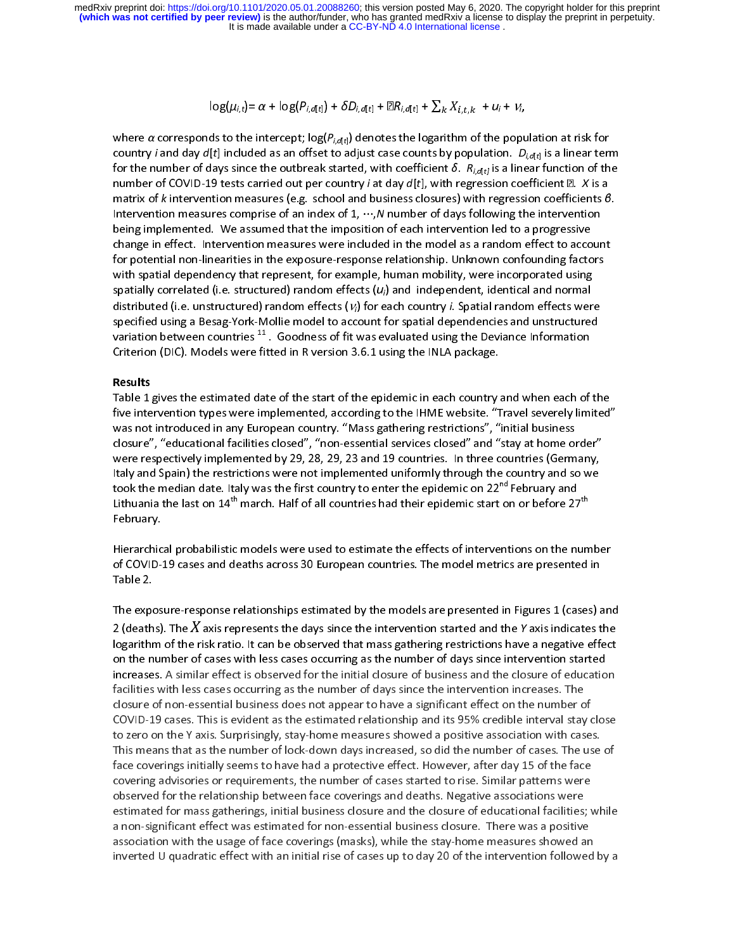$$
\log(\mu_{i,t}) = \alpha + \log(P_{i,d[t]}) + \delta D_{i,d[t]} + \mathbb{E}R_{i,d[t]} + \sum_k X_{i,t,k} + u_i + v_i,
$$

\<br>Cf<br>r \<br>( f<br>| r<br>| l where *α* corresponds to the intercept;  $\log(P_{i,d[t]})$  denotes the logarithm of the population at risk for country *i* and day  $d[t]$  included as an offset to adjust case counts by population.  $D_{i,d[t]}$  is a linear term for th for the number of days since the outbreak started, with coefficient  $\delta$ .  $R_{i,d[t]}$  is a linear function of the number of COVID-19 tests carried out per country *i* at day  $d[t]$ , with regression coefficient  $\mathbb{Z}$ . X is for the number of days since the outbreak started, when coefficient  $B$ .  $R_{i,d[t]}$  is a linear function of the number of COVID-19 tests carried out per country *i* at day  $d[t]$ , with regression coefficient  $B$ . X is a matr number of COVID-19 tests carried out per country *i* at day d<sub>[t]</sub>, with regression coefficients *β*.<br>Intervention measures comprise of an index of 1, ...,*N* number of days following the intervention<br>being implemented. W with spatial dependency that represent, for example, human mobility, were incorporated using<br>spatially correlated (i.e. structured) random effects ( $u_i$ ) and independent, identical and normal<br>distributed (i.e. unstructure specified using a Besag-York-Mollie model to account for spatial dependencies and unstructured For potential non-linearities in the exposure-response relationship. Unknown confounding factors<br>with spatial dependency that represent, for example, human mobility, were incorporated using<br>spatially correlated (i.e. stru For potential dependency that represent, for example, human mobility, were incorporated using<br>spatially correlated (i.e. structured) random effects  $(u_i)$  and independent, identical and normal<br>distributed (i.e. unstructure spatially correlated (i.e. structured) random effects  $(u_i)$  and independent, identical and normal<br>distributed (i.e. unstructured) random effects  $(v_i)$  for each country *i*. Spatial random effects were<br>specified using a Be spatially correlated (i.e. structured) random effects ( $u_i$ ) and independent, identical and normal<br>distributed (i.e. unstructured) random effects ( $v_i$ ) for each country *i*. Spatial random effects were<br>specified using a distributed (i.e. unstructured) random effects (*V<sub>i</sub>*) for each country *i*. Spatial random effects were<br>specified using a Besag-York-Mollie model to account for spatial dependencies and unstructured<br>variation between cou

Substitution between countries <sup>11</sup>. Goodness of fit was evaluated using the Deviance Information<br>Criterion (DIC). Models were fitted in R version 3.6.1 using the INLA package.<br>**Results**<br>Table 1 gives the estimated date of Criterion (DIC). Models were fitted in R version 3.6.1 using the INLA package.<br> **Results**<br>
Table 1 gives the estimated date of the start of the epidemic in each country and when each of the<br>
five intervention types were im Results<br>
Table 1 gives the estimated date of the start of the epidemic in each country of<br>
five intervention types were implemented, according to the IHME website. "T<br>
was not introduced in any European country. "Mass gath 「「いい」 Table 1<br>Table 1<br>five inte<br>was not<br>closure"<br>Italy and The intervention types were implemented, according to the IHME website. "Travel severely limited"<br>was not introduced in any European country. "Mass gathering restrictions", "initial business<br>closure", "educational facilit was not introduced in any European country. "Mass gathering restrictions", "initial business<br>closure", "educational facilities closed", "non-essential services closed" and "stay at home order"<br>were respectively implemented closure", "educational facilities closed", "non-essential services closed" and "stay at home on<br>were respectively implemented by 29, 28, 29, 23 and 19 countries. In three countries (Germ<br>Italy and Spain) the restrictions External factor of the method in 1980, 28, 29, 23 and 19 countries. In three countries (Germany, Italy and Spain) the restrictions were not implemented uniformly through the country and so we took the median date. Italy w Italy and Spain) the restrictions were not implemented uniformly through the country and so we<br>took the median date. Italy was the first country to enter the epidemic on  $22^{nd}$  February and<br>Lithuania the last on  $14^{th}$  Italy and Spain) the restrictions were not implemented uniform, the eight and  $22^{nd}$  February and Lithuania the last on  $14^{th}$  march. Half of all countries had their epidemic start on or before  $27^{th}$  February.<br>Februar

Lithuania the last on 14<sup>th</sup> march. Half of all countries had their epidemic start on or before 27<sup>th</sup><br>February.<br>Hierarchical probabilistic models were used to estimate the effects of interventions on the numbe<br>of COVID-19 Lithuania the last on 14" march. Half of all countries had their epidemic start on or before 27"<br>February.<br>Hierarchical probabilistic models were used to estimate the effects of interventions on the num<br>of COVID-19 cases a ,<br>Hierarchic<br>of COVID-;<br>Table 2.<br>The expos |<br>|<br>|<br>|-

of COVID-19 cases and deaths across 30 European countries. The model metrics are presented in<br>Table 2.<br>The exposure-response relationships estimated by the models are presented in Figures 1 (cases) an<br>2 (deaths). The  $X$  Table 2.<br>The exposure-response relationships estimated by the models are presented in Figures 1 (cases) and 2 (deaths). The  $X$  axis represents the days since the intervention started and the  $Y$  axis indicates the models The expo<br>2 (death<br>logarithr<br>on the n<br>increase ד<br>|}<br>|} c 2 (deaths). The  $X$  axis represents the days since the intervention started and the  $Y$  axis indicates the logarithm of the risk ratio. It can be observed that mass gathering restrictions have a negative effect on the num logarithm of the risk ratio. It can be observed that mass gathering restrictions have a negative effect<br>on the number of cases with less cases occurring as the number of days since intervention started<br>increases. A similar COVID-19 cases. This is evident as the estimated relationship and its 95% credible interval stay close to zero on the Y axis. Surprisingly, stay-home measures showed a positive association with cases.<br>This means that as th increases. A similar effect is observed for the initial closure of business and the closure of education facilities with less cases occurring as the number of days since the intervention increases. The<br>closure of non-essential business does not appear to have a significant effect on the number of<br>COVID-19 cases. This is evide closure of non-essential business does not appear to have a significant effect on the number o<br>COVID-19 cases. This is evident as the estimated relationship and its 95% credible interval stay<br>to zero on the Y axis. Surpris COVID-19 cases. This is evident as the estimated relationship and its 95% credible interval stay of the zero on the Y axis. Surprisingly, stay-home measures showed a positive association with case.<br>This means that as the n to zero on the Y axis. Surprisingly, stay-home measures showed a positive association with cases.<br>This means that as the number of lock-down days increased, so did the number of cases. The use of<br>face coverings initially s This means that as the number of lock-down days increased, so did the number of cases. The use<br>face coverings initially seems to have had a protective effect. However, after day 15 of the face<br>covering advisories or requir The meanings initially seems to have had a protective effect. However, after day 15 of the face<br>covering advisories or requirements, the number of cases started to rise. Similar patterns were<br>observed for the relationship Face covering advisories or requirements, the number of cases started to rise. Similar patterns were observed for the relationship between face coverings and deaths. Negative associations were estimated for mass gatherings observed for the relationship between face coverings and deaths. Negative associations were<br>estimated for mass gatherings, initial business closure and the closure of educational facilities; v<br>a non-significant effect was estimated for mass gatherings, initial business closure and the closure of educational facilities;<br>a non-significant effect was estimated for non-essential business closure. There was a positive<br>association with the usage estimated for non-essential business closure. There was a positive association with the usage of face coverings (masks), while the stay-home measures showed an inverted U quadratic effect with an initial rise of cases up t association with the usage of face coverings (masks), while the stay-home measures showed an inverted U quadratic effect with an initial rise of cases up to day 20 of the intervention followed by a inverted U quadratic effect with an initial rise of cases up to day 20 of the intervention followed by a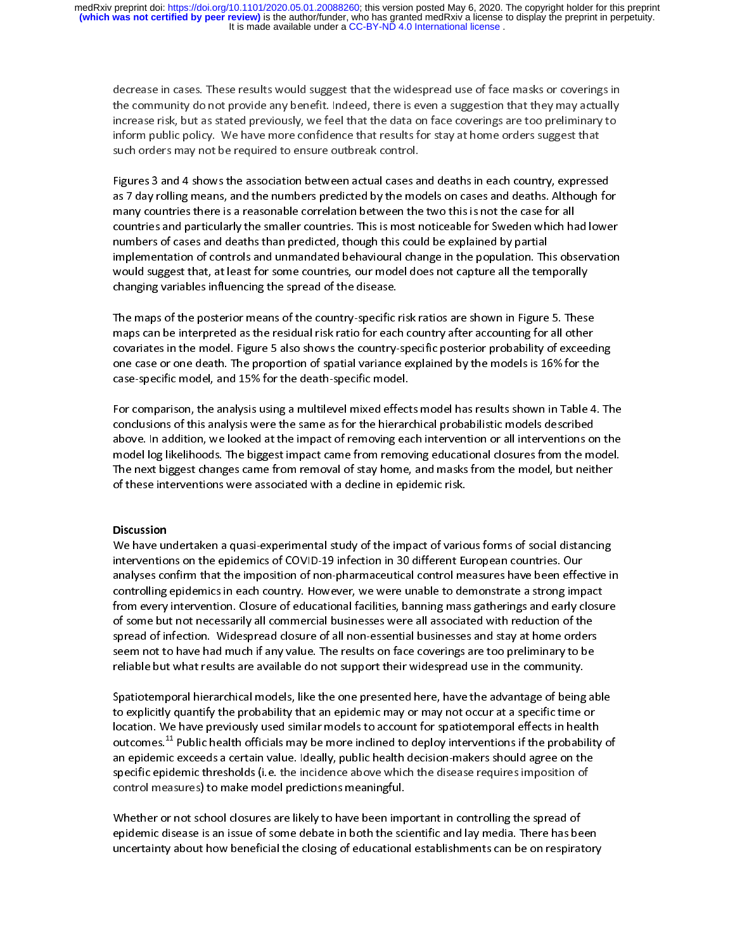decrease in cases. These results would suggest that the widespread use of face masks or coverings in<br>the community do not provide any benefit. Indeed, there is even a suggestion that they may actually<br>increase risk, but as increase risk, but as stated previously, we feel that the data on face coverings are too preliminary to

as 7 day rolling means, and the numbers predicted by the models on cases and deaths. Although for<br>many countries there is a reasonable correlation between the two this is not the case for all<br>countries and particularly the inform public policy. We have used to ensure outbreak control.<br>Such orders may not be required to ensure outbreak control.<br>Figures 3 and 4 shows the association between actual cases and deaths in each country, expresse<br>as Figures 3 and 4 shows the association between actual cases a<br>as 7 day rolling means, and the numbers predicted by the mo<br>many countries there is a reasonable correlation between the<br>countries and particularly the smaller c Fairchis Figures 3 and the numbers predicted by the models on cases and deaths. Although fo<br>many countries there is a reasonable correlation between the two this is not the case for all<br>countries and particularly the smaller countr as 7 day roung means, and incrementary predicted by the interest on the case for all countries and particularly the smaller countries. This is most noticeable for Sweden which had lower numbers of cases and deaths than pre countries and particularly the smaller countries. This is most noticeable for Sweden which hardwhers of cases and deaths than predicted, though this could be explained by partial implementation of controls and unmandated b numbers of cases and deaths than predicted, though this could be explained by partial<br>implementation of controls and unmandated behavioural change in the population. This observation<br>would suggest that, at least for some c implementation of controls and unmandated behavioural change in the population. Th<br>would suggest that, at least for some countries, our model does not capture all the tem<br>changing variables influencing the spread of the di

implementation of controls and annualization controls and uniq pointing pointing pointing in the temporally<br>changing variables influencing the spread of the disease.<br>The maps of the posterior means of the country-specific changing variables influencing the spread of the disease.<br>The maps of the posterior means of the country-specific risk ratios are shown in Figure 5. These<br>maps can be interpreted as the residual risk ratio for each country The maps of the posterior means of the country-specific<br>maps can be interpreted as the residual risk ratio for eacl<br>covariates in the model. Figure 5 also shows the country-<br>one case or one death. The proportion of spatial - 「<br>「 (<br>「 The maps can be interpreted as the residual risk ratio for each country after accounting for all other<br>covariates in the model. Figure 5 also shows the country-specific posterior probability of exceedione case or one death maps can be interpreted as the residue of the residue of the residue of the residue of the reserve of the reserve of the reserve of the reserve of the reserve of the reserve of the reserve of the reserve of the reserve of

covariates in the model. The proportion of spatial variance explained by the models is 16% for the<br>case-specific model, and 15% for the death-specific model.<br>For comparison, the analysis using a multilevel mixed effects mo The case-specific model, and 15% for the death-specific model.<br>
For comparison, the analysis using a multilevel mixed effects model has results shown in Table 4.<br>
conclusions of this analysis were the same as for the hiera For comparison, the analysis using a multilevel mixed effect<br>conclusions of this analysis were the same as for the hierarre<br>above. In addition, we looked at the impact of removing ear<br>model log likelihoods. The biggest imp Fc<br>c<br>r For clusters, this analysis were the same as for the hierarchical probabilistic models described<br>above. In addition, we looked at the impact of removing each intervention or all interventions on the<br>model log likelihoods. above. In addition, we looked at the impact of removing each intervention or all interventions of<br>model log likelihoods. The biggest impact came from removing educational closures from the mo<br>The next biggest changes came model log likelihoods. The biggest impact came from removing educational closures from the model.<br>The next biggest changes came from removal of stay home, and masks from the model, but neither<br>of these interventions were a The next biggest changes came from removal of stay home, and masks from the model, but neither<br>of these interventions were associated with a decline in epidemic risk.<br>Discussion<br>We have undertaken a quasi-experimental stud

The interventions were associated with a decline in epidemic risk.<br>
Discussion<br>
We have undertaken a quasi-experimental study of the impact of various forms of social distancing<br>
interventions on the epidemics of COVID-19 Discussion<br>We have undertaken a quasi-experimental study of the impact of vario<br>interventions on the epidemics of COVID-19 infection in 30 different Eu<br>analyses confirm that the imposition of non-pharmaceutical control me<br> ]<br>| |<br>| ה The have unitervention<br>interventionallyses controlling<br>from every<br>of some bundles We have undertaken a quark of COVID-19 infection in 30 different European countries. Our<br>analyses confirm that the imposition of non-pharmaceutical control measures have been effective in<br>controlling epidemics in each coun inalyses confirm that the imposition of non-pharmaceutical control measures have been effectiontrolling epidemics in each country. However, we were unable to demonstrate a strong improm every intervention. Closure of educa analyses controlling epidemics in each country. However, we were unable to demonstrate a strong impact<br>from every intervention. Closure of educational facilities, banning mass gatherings and early closure<br>of some but not n From every intervention. Closure of educational facilities, banning mass gatherings and early closure of some but not necessarily all commercial businesses were all associated with reduction of the spread of infection. Wid from every intertrincessarily all commercial businesses were all associated with reduction of the<br>spread of infection. Widespread closure of all non-essential businesses and stay at home orders<br>seem not to have had much if spread of infection. Widespread closure of all non-essential businesses and stay at home orders<br>seem not to have had much if any value. The results on face coverings are too preliminary to be<br>reliable but what results are

spread of infection. Widespread closure of all non-essential businesses and stay at home orders<br>seem not to have had much if any value. The results on face coverings are too preliminary to be<br>reliable but what results are reliable but what results are available do not support their widespread use in the community.<br>Spatiotemporal hierarchical models, like the one presented here, have the advantage of being alto explicitly quantify the probab Spatiotemporal hierarchical models, like the one presented here, have the advantage of being<br>to explicitly quantify the probability that an epidemic may or may not occur at a specific time<br>location. We have previously used The explicitly quantify the probability that an epidemic may or may not occur at a specific time or location. We have previously used similar models to account for spatiotemporal effects in health outcomes.<sup>11</sup> Public heal location. We have previously used similar models to account for spatiotemporal effects in health<br>outcomes.<sup>11</sup> Public health officials may be more inclined to deploy interventions if the probability<br>an epidemic exceeds a c outcomes.<sup>11</sup> Public health officials may be more inclined to deploy interventions if the probability<br>an epidemic exceeds a certain value. Ideally, public health decision-makers should agree on the<br>specific epidemic thresh outcomes.<sup>44</sup> Public health officials may be more inclined to deploy interventions if the probability of<br>an epidemic exceeds a certain value. Ideally, public health decision-makers should agree on the<br>specific epidemic thr

specific epidemic thresholds (i.e. the incidence above which the disease requires imposition of<br>control measures) to make model predictions meaningful.<br>Whether or not school closures are likely to have been important in co specific epidemic increasing (i.e. the includence above thresholds incontrol measures) to make model predictions meaningful.<br>Whether or not school closures are likely to have been important in controlling the spread of<br>epi Whether or not school closures are likely to have been imp<br>epidemic disease is an issue of some debate in both the sci<br>uncertainty about how beneficial the closing of educationa りり epidemic disease is an issue of some debate in both the scientific and lay media. There has been<br>uncertainty about how beneficial the closing of educational establishments can be on respiratory epidemic disease is an idea of some debate in both the scientific and lay media. The science of some<br>uncertainty about how beneficial the closing of educational establishments can be on respiratory<br>the scientific and the s uncertainty about how beneficial the closing of educational establishments can be on respiratory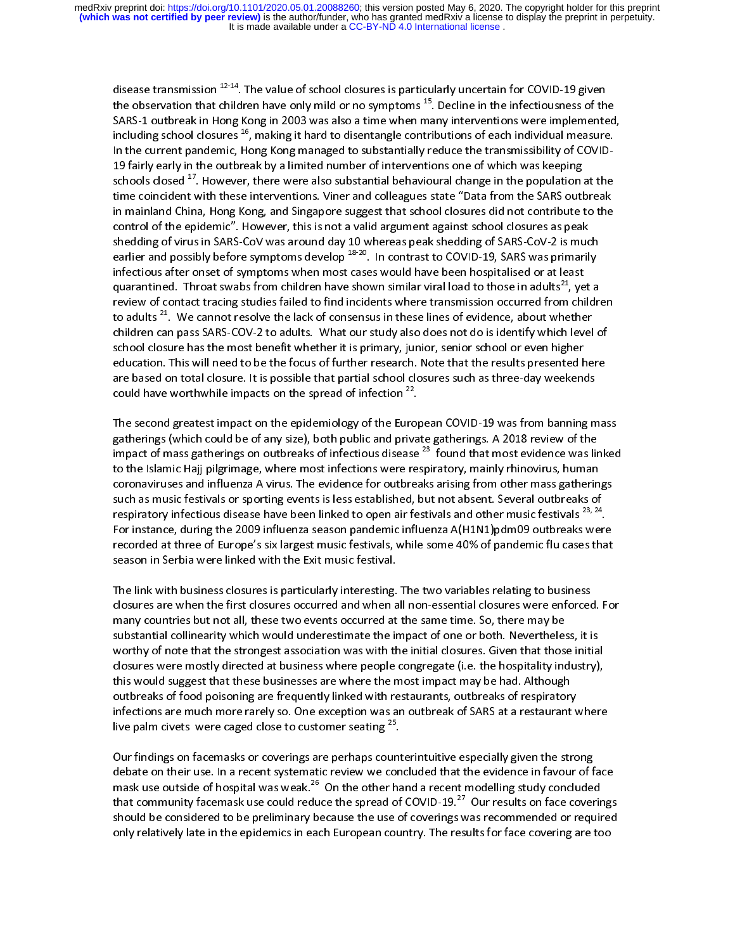disease transmission <sup>42-14</sup>. The value of school closures is particularly uncertain for COVID-19 given<br>the observation that children have only mild or no symptoms <sup>15</sup>. Decline in the infectiousness of th<br>SARS-1 outbreak the observation that children have only mild or no symptoms <sup>25</sup>. Decline in the intectiousness of the SARS-1 outbreak in Hong Kong in 2003 was also a time when many interventions were implemented including school closures in the current pandemic, Hong Kong managed to substantially reduce the transmissibility of COVID-<br>19 fairly early in the outbreak by a limited number of interventions one of which was keeping<br>schools closed <sup>17</sup>. However, In the current pandemic, Hong Kong managed to substantially reduce the transmissibility of COVID-19 factor outbreak by a limit of the outbreak by a limit of the outbreak by a mainland China, Hong Kong, and Singapore suggest that school closures did not contribute to the control of the epidemic". However, this is not In mainland China, Hong Kong, and Singapore suggest that school closures did not contribute to the<br>control of the epidemic". However, this is not a valid argument against school closures as peak<br>shedding of virus in SARScontrol of the epidemic". However, this is not a valid argument against school closures as peak<br>shedding of virus in SARS-CoV was around day 10 whereas peak shedding of SARS-CoV-2 is much<br>earlier and possibly before sympt shedding of virus in SARS-CoV was around day 10 whereas peak shedding of SARS-CoV-2 is mucearlier and possibly before symptoms develop <sup>18-20</sup>. In contrast to COVID-19, SARS was primaril infectious after onset of symptoms earlier and possibly before symptoms develop  $^{18-20}$ . In contrast to COVID-19, SARS was primarily infectious after onset of symptoms when most cases would have been hospitalised or at least quarantined. Throat swabs fro earlier and possibly before symptoms develop <sup>2020</sup>. In contrast to COVID-19, SARS was primarily infectious after onset of symptoms when most cases would have been hospitalised or at least quarantined. Throat swabs from ch quarantined. Throat swabs from children have shown similar viral load to those in adults<sup>21</sup>, yet a<br>review of contact tracing studies failed to find incidents where transmission occurred from childre<br>to adults<sup>21</sup>. We cann to adults <sup>21</sup>. We cannot resolve the lack of consensus in these lines of evidence, about whether children can pass SARS-COV-2 to adults. What our study also does not do is identify which level of school closure has the m to adults <sup>21</sup>. We cannot resolve the lack of consensus in these lines of evidence, about whether children can pass SARS-COV-2 to adults. What our study also does not do is identify which level school closure has the most children can pass SARS-COV-2 to adults. What our study also does not do is identify which level of<br>school closure has the most benefit whether it is primary, junior, senior school or even higher<br>education. This will need t education. This will need to be the focus of further research. Note that the results presented h<br>are based on total closure. It is possible that partial school closures such as three-day weekend<br>could have worthwhile impac

education. The second closure. It is possible that partial school closures such as three-day weekends<br>could have worthwhile impacts on the spread of infection <sup>22</sup>.<br>The second greatest impact on the epidemiology of the Eur are based on the spread of infection <sup>22</sup>.<br>The second greatest impact on the epidemiology of the European COVID-19 was from banning m<br>gatherings (which could be of any size), both public and private gatherings. A 2018 revi |<br>}<br>}<br>} The second gradient must be set all public and private gatherings. A 2018 review of the<br>impact of mass gatherings on outbreaks of infectious disease  $^{23}$  found that most evidence was linked<br>to the Islamic Hajj pilgrimag impact of mass gatherings on outbreaks of infectious disease <sup>23</sup> found that most evidence was linked<br>to the Islamic Hajj pilgrimage, where most infections were respiratory, mainly rhinovirus, human<br>coronaviruses and influ coronaviruses and influenza A virus. The evidence for outbreaks arising from other mass gather in such as music festivals or sporting events is less established, but not absent. Several outbreaks of respiratory infectious such as music festivals or sporting events is less established, but not absent. Several outbreaks of<br>respiratory infectious disease have been linked to open air festivals and other music festivals <sup>23, 24</sup>.<br>For instance, d respiratory infectious disease have been linked to open air festivals and other music festivals <sup>23, 24</sup>.<br>For instance, during the 2009 influenza season pandemic influenza A(H1N1)pdm09 outbreaks were<br>recorded at three of E respiratory infectious disease have been linked to open air festivals and other music festivals <sup>23, 24</sup>.<br>For instance, during the 2009 influenza season pandemic influenza A(H1N1)pdm09 outbreaks were<br>recorded at three of E

For instance, during the 2009 is six largest music festivals, while some 40% of pandemic flu cases that<br>season in Serbia were linked with the Exit music festival.<br>The link with business closures is particularly interesting recorded at the Exit music festival.<br>The link with business closures is particularly interesting. The two variables relating to business<br>closures are when the first closures occurred and when all non-essential closures wer The link with business closures is particularly interesting.<br>closures are when the first closures occurred and when a<br>many countries but not all, these two events occurred at<br>substantial collinearity which would underestim |<br>| C r c<br>| C L closures are when the first closures occurred and when all non-essential closures were enforced. For<br>many countries but not all, these two events occurred at the same time. So, there may be<br>substantial collinearity which w many countries but not all, these two events occurred at the same time. So, there may be<br>substantial collinearity which would underestimate the impact of one or both. Nevertheless, it is<br>worthy of note that the strongest a many countries and collinearity which would underestimate the impact of one or both. Nevertheles<br>worthy of note that the strongest association was with the initial closures. Given that those<br>closures were mostly directed worthy of note that the strongest association was with the initial closures. Given that those initia<br>closures were mostly directed at business where people congregate (i.e. the hospitality industry),<br>this would suggest th worthy stronger was interesting as where people congregate (i.e. the hospitality industry),<br>this would suggest that these businesses are where the most impact may be had. Although<br>outbreaks of food poisoning are frequently this would suggest that these businesses are where the most impact may be had. Although<br>outbreaks of food poisoning are frequently linked with restaurants, outbreaks of respiratory<br>infections are much more rarely so. One e outbreaks of food poisoning are frequently linked with restaurants, outbreaks of respiratory<br>infections are much more rarely so. One exception was an outbreak of SARS at a restaurant<br>live palm civets were caged close to c

infections are much more rarely so. One exception was an outbreak of SARS at a restaurant where<br>live palm civets were caged close to customer seating  $^{25}$ .<br>Our findings on facemasks or coverings are perhaps counterintui live palm civets were caged close to customer seating  $^{25}$ .<br>Our findings on facemasks or coverings are perhaps counterintuitive especially given the strong<br>debate on their use. In a recent systematic review we concluded ( c r<br>c r c The batter on their use. In a recent systematic review we concluded that the evidence in favour of f<br>mask use outside of hospital was weak.<sup>26</sup> On the other hand a recent modelling study conclude<br>that community facemask us mask use outside of hospital was weak.<sup>26</sup> On the other hand a recent modelling study concluded<br>that community facemask use could reduce the spread of COVID-19.<sup>27</sup> Our results on face coverings<br>should be considered to be that community facemask use could reduce the spread of COVID-19.<sup>27</sup> Our results on face coverings<br>should be considered to be preliminary because the use of coverings was recommended or required<br>only relatively late in the only relatively late in the epidemics in each European country. The results for face covering are too<br>
only relatively late in the epidemics in each European country. The results for face covering are too only relatively latential epidemics in the epidemics in each European country. The results for face covering a<br>The extension of face covering are too face covering are too face covering are too face covering are too face<br>I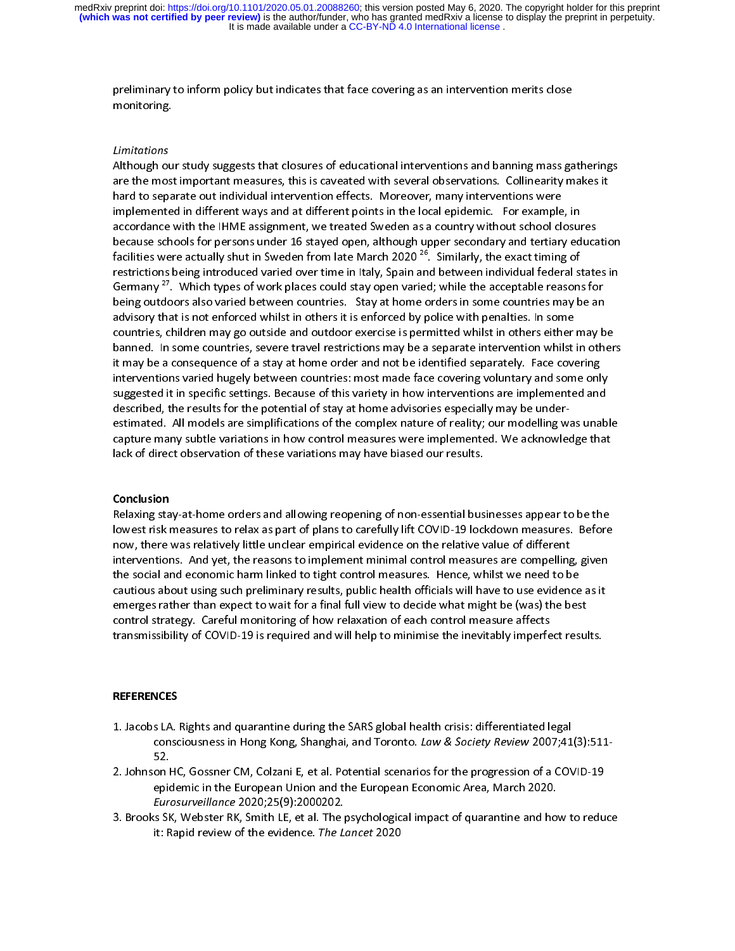## Limitations<br>\* LL = L

prelimitations<br>
Limitations<br>
Although our study suggests that closures of educational interventions and banning mass ga<br>
are the most important measures, this is caveated with several observations. Collinearity m<br>
bend to ی<br>Limitations<br>Although ou<br>are the most<br>hard to sepa | /<br>| i<br>| i ノノ こしこし Although the most important measures, this is caveated with several observations. Collinearity makes it<br>hard to separate out individual intervention effects. Moreover, many interventions were<br>implemented in different ways are the most implemented in different ways and at different points in the local epidemic. For example, in accordance with the IHME assignment, we treated Sweden as a country without school closures because schools for per implemented in different ways and at different points in the local epidemic. For example<br>accordance with the IHME assignment, we treated Sweden as a country without school clo<br>because schools for persons under 16 stayed op accordance with the IHME assignment, we treated Sweden as a country without school closure<br>because schools for persons under 16 stayed open, although upper secondary and tertiary ed<br>facilities were actually shut in Sweden because schools for persons under 16 stayed open, although upper secondary and tertiary educa<br>facilities were actually shut in Sweden from late March 2020<sup>26</sup>. Similarly, the exact timing of<br>restrictions being introduced v facilities were actually shut in Sweden from late March 2020<sup>26</sup>. Similarly, the exact timing of<br>restrictions being introduced varied over time in Italy, Spain and between individual federal states in<br>Germany<sup>27</sup>. Which t Germany <sup>27</sup>. Which types of work places could stay open varied; while the acceptable reasons for being outdoors also varied between countries. Stay at home orders in some countries may be an advisory that is not enforced being out that is not enforced whilst in others it is enforced by police with penalties. In some<br>countries, children may go outside and outdoor exercise is permitted whilst in others either may b<br>banned. In some countries, countries, children may go outside and outdoor exercise is permitted whilst in others either<br>banned. In some countries, severe travel restrictions may be a separate intervention whilst<br>it may be a consequence of a stay at banned. In some countries, severe travel restrictions may be a separate intervention whilst in other<br>it may be a consequence of a stay at home order and not be identified separately. Face covering<br>interventions varied huge it may be a consequence of a stay at home order and not be identified separately. Face covering<br>interventions varied hugely between countries: most made face covering voluntary and some only<br>suggested it in specific settin interventions varied hugely between countries: most made face covering voluntary and some onl<br>suggested it in specific settings. Because of this variety in how interventions are implemented and<br>described, the results for t interventions in specific settings. Because of this variety in how interventions are implemented and<br>described, the results for the potential of stay at home advisories especially may be under-<br>estimated. All models are si suggested, the results for the potential of stay at home advisories especially may be under-<br>estimated. All models are simplifications of the complex nature of reality; our modelling was unab<br>capture many subtle variations estimate are simplifications in how control measures were implemented. We acknowledge that<br>lack of direct observation of these variations may have biased our results.<br>**Conclusion**<br>Relaxing stay-at-home orders and allowing

described, the results for the results for the potential of stay at home advisories especially may be under-th<br>Delay be under-other at home and all any be underack of direct observation of these variations may have biased our results.<br> **Conclusion**<br>
Relaxing stay-at-home orders and allowing reopening of non-essential businesses appear to be the<br>
lowest risk measures to relax as p Conclusion<br>
Relaxing stay-at-home orders and allowing reopening of non-essential bus<br>
lowest risk measures to relax as part of plans to carefully lift COVID-19 lock<br>
now, there was relatively little unclear empirical evide ( ||<br>|<br>|<br>|-(「H」<br>「i」 concessors<br>Relaving sta lowest risk measures to relax as part of plans to carefully lift COVID-19 lockdown measures. Before<br>now, there was relatively little unclear empirical evidence on the relative value of different<br>interventions. And yet, the now, there was relatively little unclear empirical evidence on the relative value of different<br>interventions. And yet, the reasons to implement minimal control measures are compelling, given<br>the social and economic harm li interventions. And yet, the reasons to implement minimal control measures are compelling<br>the social and economic harm linked to tight control measures. Hence, whilst we need to b<br>cautious about using such preliminary resul the social and economic harm linked to tight control measures. Hence, whilst we need to be<br>cautious about using such preliminary results, public health officials will have to use evidence as it<br>emerges rather than expect t cautious about using such preliminary results, public health officials will have to use evidence<br>emerges rather than expect to wait for a final full view to decide what might be (was) the bes<br>control strategy. Careful moni emerges rather than expect to wait for a final full view to decide what might be (was) the best<br>control strategy. Careful monitoring of how relaxation of each control measure affects<br>transmissibility of COVID-19 is require emerges rather than expect to wait for a final full view to dechosing on the ingit for  $(0.42)$  might control strategy. Careful monitoring of how relaxation of each control measure affects transmissibility of COVID-19 is r transmissibility of COVID-19 is required and will help to minimise the inevitably imperfect results.<br>REFERENCES

- 1. Jacobs LA. Rights and quarantine during the SARS global health crisis: differentiated legal<br>consciousness in Hong Kong, Shanghai, and Toronto. Law & Society Review 2007;41(3):511- $\frac{1}{1}$  $\begin{bmatrix} 1 \\ 2 \end{bmatrix}$  $\begin{bmatrix} 1 \\ 2 \end{bmatrix}$  $\ddot{\phantom{0}}$
- 52.<br>2. Johnson HC, Gossner CM, Colzani E, et al. Potential scenarios for the progression of a COVID-19<br>6. epidemic in the European Union and the European Economic Area, March 2020.<br>5. Brooks SK, Webster RK, Smith LE, et al consciousness in Hong Kong, Shanghai, and Toronto. Law & Society Review 2007;41(3):511<br>52.<br>on HC, Gossner CM, Colzani E, et al. Potential scenarios for the progression of a COVID-19<br>epidemic in the European Union and the E ---<br>on l<br>epic<br>*Eur*e<br>:s Sk<br>it: R 2. Eurosurveillance 2020;25(9):2000202.<br>2. *Eurosurveillance* 2020;25(9):2000202.<br>3. Brooks SK, Webster RK, Smith LE, et al. The psychological impact of quarantine and how to redu<br>it: Rapid review of the evidence. The Lanc
- Eurosurveillance 2020;25(9):2000202.<br>s SK, Webster RK, Smith LE, et al. The psychological impact of quarantine and ho<br>it: Rapid review of the evidence. *The Lancet* 2020<br>. Eurosurveillance 2020, 20(9):2000202.<br>
Is SK, Webster RK, Smith LE, et al. The pit: Rapid review of the evidence. The Lu It: Rapid review of the evidence. The Lancet 2020 it: Rapid review of the evidence. The Lancet 2020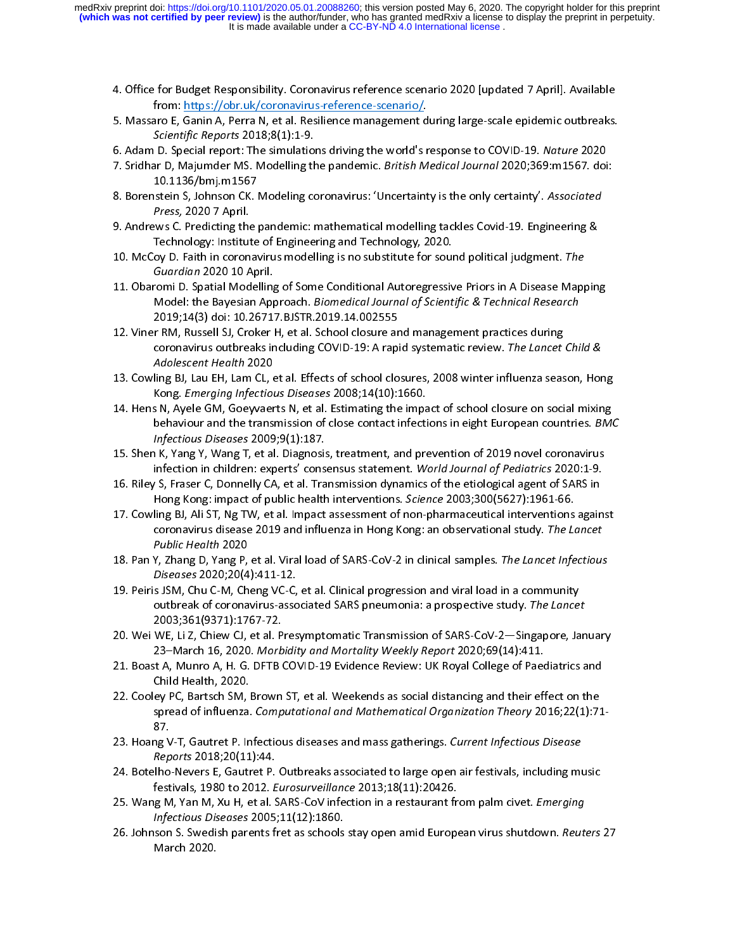- 
- 4. From: https://obr.uk/coronavirus-reference-scenario/<br>
5. Massaro E, Ganin A, Perra N, et al. Resilience management during large-scale epidemic outbreaks.<br>
5. Adam D. Special report: The simulations driving the world's r
- 
- aro E, Ganin A, Perra N, et al. Resilience management d<br>Scientific Reports 2018;8(1):1-9.<br>D. Special report: The simulations driving the world's rar D, Majumder MS. Modelling the pandemic. *British M*<br>10.1136/bmj.m1567<br>ste Scientific Reports 2018;8(1):1-9.<br>
6. Adam D. Special report: The simulations driving the world's response to COVID-19. Nature 2020<br>
7. Sridhar D, Majumder MS. Modelling the pandemic. *British Medical Journal* 2020;369:m15 6. Adam D. Special report: The simulations driving the world's response to COVID-19. Nature 2020<br>
7. Sridhar D, Majumder MS. Modelling the pandemic. *British Medical Journal* 2020;369:m1567. doi<br>
10.1136/bmj.m1567<br>
8. Bore
- Belinific Reports 2018;8(1):1-9.<br>D. Special report: The simulation<br>ar D, Majumder MS. Modelling th<br>10.1136/bmj.m1567<br>stein S, Johnson CK. Modeling co<br>Press, 2020 7 April.<br>ws C. Predicting the pandemic: 7. Shunaf D, Majumder MS. Modeling the pandemic. British Medical Journal 2020, 309. 111307. doi:<br>
10.1136/bmj.m1567<br>
8. Borenstein S, Johnson CK. Modeling coronavirus: 'Uncertainty is the only certainty'. Associated<br>
Press Extern S, Johnson CK. I<br>Stein S, Johnson CK. I<br>Press, 2020 7 April.<br>Technology: Institute<br>oy D. Faith in coronay<br>Guardian 2020 10 Aprensi D. Spatial Mode
- 8. Borenstein S, Johnson Ck. Modeling coronavirus. Uncertainty is the only certainty : Associated<br>
Press, 2020 7 April.<br>
9. Andrews C. Predicting the pandemic: mathematical modelling tackles Covid-19. Engineering &<br>
Techno
- 
- Press, 2020 7 April.<br>
9. Andrews C. Predicting the pandemic: mathematical modelling tackles Covid-19. Engineering &<br>
Technology: Institute of Engineering and Technology, 2020.<br>
10. McCoy D. Faith in coronavirus modelling i 9. Technology: Institute of Engineering and Technology, 2020.<br>
10. McCoy D. Faith in coronavirus modelling is no substitute for sound political judgment. The<br>
Guardian 2020 10 April.<br>
11. Obaromi D. Spatial Modelling of So 10. McCoy D. Faith in coronavirus modelling is no substitute for sound political judgment. The<br>Guardian 2020 10 April.<br>11. Obaromi D. Spatial Modelling of Some Conditional Autoregressive Priors in A Disease Map<br>Model: the 10. McCoy D. Faith in coronavirus modelling is no substitute for sound political judgment. The<br>
Guardian 2020 10 April.<br>
11. Obaromi D. Spatial Modelling of Some Conditional Autoregressive Priors in A Disease Map<br>
Model: t Buardian 2020 10 April.<br>
From D. Spatial Modelling<br>
Model: the Bayesian App<br>
2019;14(3) doi: 10.2671<br>
FRM, Russell SJ, Croker I<br>
coronavirus outbreaks in<br>
Adolescent Health 2020
- Model: the Bayesian Approach. *Biomedical Journal of Scientific & Technical Research*<br>
2019;14(3) doi: 10.26717.BJSTR.2019.14.002555<br>
12. Viner RM, Russell SJ, Croker H, et al. School closure and management practices durin Model: the Bayesian Approach. Biomedical Journal of Scientific & Technical Research<br>2019;14(3) doi: 10.26717.BJSTR.2019.14.002555<br>r RM, Russell SJ, Croker H, et al. School closure and management practices during<br>coronaviru r RM, Russell SJ, Croker H, et al. School closure ar<br>coronavirus outbreaks including COVID-19: A rapi<br>*Adolescent Health* 2020<br>ling BJ, Lau EH, Lam CL, et al. Effects of school clo<br>Kong. *Emerging Infectious Diseases* 2008
- 
- 12. Comavirus outbreaks including COVID-19: A rapid systematic review. The Lancet Carl Adolescent Health 2020<br>13. Cowling BJ, Lau EH, Lam CL, et al. Effects of school closures, 2008 winter influenza seas<br>14. Hens N, Ayele coronavirus outbreaks including COVID-19: A rapid systematic review. The Lancet Child &<br>Adolescent Health 2020<br>ling BJ, Lau EH, Lam CL, et al. Effects of school closures, 2008 winter influenza season, Hor<br>Kong. Emerging In Adolescent Health 2020<br>ling BJ, Lau EH, Lam CL, 6<br>Kong. *Emerging Infectious*<br>S N, Ayele GM, Goeyvaer<br>behaviour and the trans<br>*Infectious Diseases* 2009<br>N, Yang Y, Wang T, et al 13. Comes Commission School (13. Comes Contact infections of school closure on social mixing<br>13. Hens N, Ayele GM, Goeyvaerts N, et al. Estimating the impact of school closure on social mixing<br>14. Hens N, Ayele GM, Goeyvae Kong. Emerging Infectious Diseases 2008;14(10):1660.<br>
14. Hens N, Ayele GM, Goeyvaerts N, et al. Estimating the impact of school closure on social mixing<br>
behaviour and the transmission of close contact infections in eight 14. Bendington Statement Statement of the statement of the interventions in eight European countries. BM,<br>
14. Herbious Diseases 2009;9(1):187.<br>
15. Shen K, Yang Y, Wang T, et al. Diagnosis, treatment, and prevention of 20
- behaviour and the transmission of close contact infections in eight European countries. BMC<br>Infectious Diseases 2009;9(1):187.<br>if y Yang Y, Wang T, et al. Diagnosis, treatment, and prevention of 2019 novel coronavirus<br>infe
- 
- Infectious Diseases 2009;9(1):187.<br>I K, Yang Y, Wang T, et al. Diagnosis<br>infection in children: experts' consintention in children: experts' consi<br>S, Fraser C, Donnelly CA, et al. Tra<br>Hong Kong: impact of public health<br>cor infection in children: experts' consensus statement. World Journal of Pediatrics 2020:1-9.<br>16. Riley S, Fraser C, Donnelly CA, et al. Transmission dynamics of the etiological agent of SARS in<br>17. Cowling BJ, Ali ST, Ng TW, infection in children: experts' consensus statement. World Journal of Fediatrics 2020.1-3.<br>
S, Fraser C, Donnelly CA, et al. Transmission dynamics of the etiological agent of SARS in<br>
Hong Kong: impact of public health int 16. Rightly SM, France 2003;300(5627):1961-66.<br>
17. Cowling BJ, Ali ST, Ng TW, et al. Impact assessment of non-pharmaceutical interventions agair<br>
coronavirus disease 2019 and influenza in Hong Kong: an observational study Hong Kong: impact of public health interventions. Science 2003;300(5627):1961-66.<br>
ling BJ, Ali ST, Ng TW, et al. Impact assessment of non-pharmaceutical interventions<br>
coronavirus disease 2019 and influenza in Hong Kong:
- 
- 19. Coronavirus disease 2019 and influenza in Hong Kong: an observational study. The Lancet<br>
17. Pan Y, Zhang D, Yang P, et al. Viral load of SARS-CoV-2 in clinical samples. The Lancet Infectious<br>
18. Pan Y, Zhang D, Yang coronavirus disease 2019 and influenza in Hong Rong: an observational study. The Lancet<br>Public Health 2020<br>Y, Zhang D, Yang P, et al. Viral load of SARS-CoV-2 in clinical samples. The Lancet Infectious<br>Diseases 2020;20(4): Public Health 2020<br>
Y, Zhang D, Yang P,<br>
Diseases 2020;20(4<br>
s JSM, Chu C-M, Ch<br>
outbreak of corona<br>
2003;361(9371):17<br>
WE, Li Z, Chiew CJ, Diseases 2020;20(4):411-12.<br>19. Peiris JSM, Chu C-M, Cheng VC-C, et al. Clinical progression and viral load in a community<br>19. Peiris JSM, Chu C-M, Cheng VC-C, et al. Clinical progression and viral load in a community<br>19. Biseases 2020;20(4):411-12.<br>
s JSM, Chu C-M, Cheng VC-C,<br>
outbreak of coronavirus-asso<br>
2003;361(9371):1767-72.<br>
WE, Li Z, Chiew CJ, et al. Pres<br>
23–March 16, 2020. Morbidit<br>
st A, Munro A, H. G. DFTB CO 19. Personal personal properties and viral material processes of the Lancer<br>
2003;361(9371):1767-72.<br>
20. Wei WE, Li Z, Chiew CJ, et al. Presymptomatic Transmission of SARS-CoV-2—Singapore, Ja<br>
23–March 16, 2020. Morbidity
- outbreak of coronavirus-associated SARS pheumonia: a prospective study. The Lancet<br>2003;361(9371):1767-72.<br>WE, Li Z, Chiew CJ, et al. Presymptomatic Transmission of SARS-CoV-2—Singapore, Jan<br>23–March 16, 2020. Morbidity an
- 
- WE, Li Z, Chiew CJ, et al. P<br>WE, Li Z, Chiew CJ, et al. P<br>23–March 16, 2020. *Morb*<br>st A, Munro A, H. G. DFTB (<br>Child Health, 2020.<br>ey PC, Bartsch SM, Brown<br>spread of influenza. *Comp* 23-March 16, 2020. Morbidity and Mortality Weekly Report 2020;69(14):411.<br>
21. Boast A, Munro A, H. G. DFTB COVID-19 Evidence Review: UK Royal College of Paediatrics and<br>
Child Health, 2020.<br>
22. Cooley PC, Bartsch SM, Bro 23–March 16, 2020. Morbidity and Mortality Veekly Report 2020,09(14):411.<br>21 A, Munro A, H. G. DFTB COVID-19 Evidence Review: UK Royal College of Paec<br>Child Health, 2020.<br>ey PC, Bartsch SM, Brown ST, et al. Weekends as soc 22. Cooley PC, Bartsch SM, Brown ST, et al. Weekends as social distancing and their effect on the<br>spread of influenza. Computational and Mathematical Organization Theory 2016;22(1):71<br>87.<br>23. Hoang V-T, Gautret P. Infectio ey PC, Bartsch SM, I<br>spread of influenza.<br>87.<br>ng V-T, Gautret P. In<br>Reports 2018;20(11<br>ilho-Nevers E, Gautr 22. Hoang V-T, Gautret P. Infectious diseases and mass gatherings. Current Infectious Disease<br>
23. Hoang V-T, Gautret P. Infectious diseases and mass gatherings. Current Infectious Disease<br>
24. Botelho-Nevers E, Gautret P.
- ng V<br>*Rep*<br>:lho<br>fest<br>g *M<br><i>Infe*
- spread of influenza. Computational and Mathematical Organization Theory 2010,22(1):71-<br>87.<br>ng V-T, Gautret P. Infectious diseases and mass gatherings. Current Infectious Disease<br>Reports 2018;20(11):44.<br>Iho-Nevers E, Gautre 23. Hoang V-T, Gautret P. Infectious diseases and mass gatherings. Current Infectious Disease<br>
Reports 2018;20(11):44.<br>
24. Botelho-Nevers E, Gautret P. Outbreaks associated to large open air festivals, including mu<br>
festi Reports 2018,20(11):44.<br>Iho-Nevers E, Gautret P.<br>festivals, 1980 to 2012. E<br>g M, Yan M, Xu H, et al. S.<br>Infectious Diseases 2005;<br>son S. Swedish parents f<br>March 2020.
- festivals, 1980 to 2012. *Eurosurveillance* 2013;18(11):20426.<br>25. Wang M, Yan M, Xu H, et al. SARS-CoV infection in a restaurant from palm civet. *Emerging*<br>*Infectious Diseases* 2005;11(12):1860.<br>26. Johnson S. Swedish p
- 22. Botelhom-Nevers Equipment 2013;18(11):20426.<br>25. Wang M, Yan M, Xu H, et al. SARS-CoV infection in a restaurant from palm civet. *Emerging*<br>26. Johnson S. Swedish parents fret as schools stay open amid European virus s 25. Wang M, Yan M, Xu H, Et al. SANS-Cov infection in a restaurant from paint civet. *Emerging*<br>
Infectious Diseases 2005;11(12):1860.<br>
26. Johnson S. Swedish parents fret as schools stay open amid European virus shutdown. Infectious Diseases 2005,11(12):1860.<br>Ison S. Swedish parents fret as schools<br>March 2020. 26. Johnson S. Swedish parents fret as schools stay open amid European virus shutdown. Reuters 27<br>March 2020.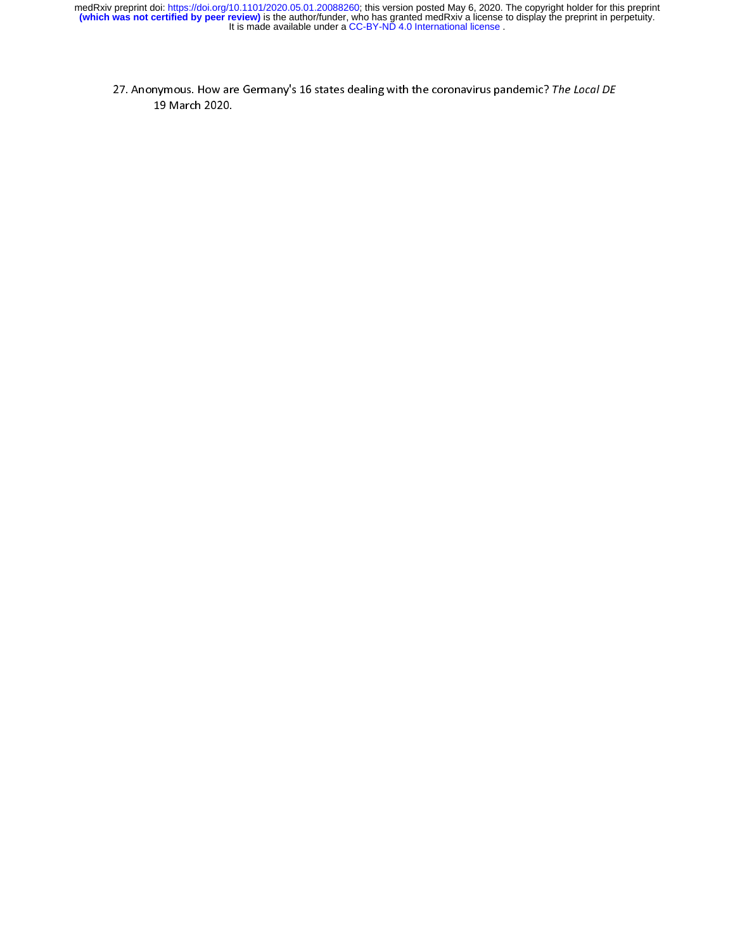27. Anonymous. How are Germany's 16 states dealing with the coronavirus pandemic? The Local DE<br>19 March 2020.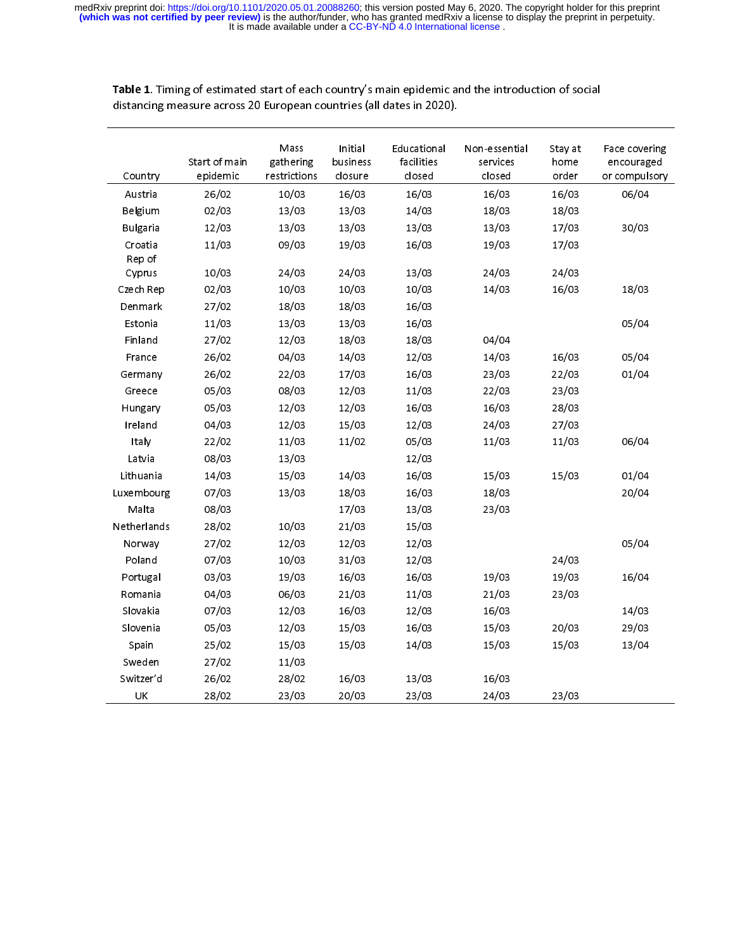| Country           | Start of main<br>epidemic | Mass<br>gathering<br>restrictions | Initial<br>business<br>closure | Educational<br>facilities<br>closed | Non-essential<br>services<br>closed | Stay at<br>home<br>order | Face covering<br>encouraged<br>or compulsory |
|-------------------|---------------------------|-----------------------------------|--------------------------------|-------------------------------------|-------------------------------------|--------------------------|----------------------------------------------|
| Austria           | 26/02                     | 10/03                             | 16/03                          | 16/03                               | 16/03                               | 16/03                    | 06/04                                        |
| Belgium           | 02/03                     | 13/03                             | 13/03                          | 14/03                               | 18/03                               | 18/03                    |                                              |
| <b>Bulgaria</b>   | 12/03                     | 13/03                             | 13/03                          | 13/03                               | 13/03                               | 17/03                    | 30/03                                        |
| Croatia<br>Rep of | 11/03                     | 09/03                             | 19/03                          | 16/03                               | 19/03                               | 17/03                    |                                              |
| Cyprus            | 10/03                     | 24/03                             | 24/03                          | 13/03                               | 24/03                               | 24/03                    |                                              |
| Czech Rep         | 02/03                     | 10/03                             | 10/03                          | 10/03                               | 14/03                               | 16/03                    | 18/03                                        |
| Denmark           | 27/02                     | 18/03                             | 18/03                          | 16/03                               |                                     |                          |                                              |
| Estonia           | 11/03                     | 13/03                             | 13/03                          | 16/03                               |                                     |                          | 05/04                                        |
| Finland           | 27/02                     | 12/03                             | 18/03                          | 18/03                               | 04/04                               |                          |                                              |
| France            | 26/02                     | 04/03                             | 14/03                          | 12/03                               | 14/03                               | 16/03                    | 05/04                                        |
| Germany           | 26/02                     | 22/03                             | 17/03                          | 16/03                               | 23/03                               | 22/03                    | 01/04                                        |
| Greece            | 05/03                     | 08/03                             | 12/03                          | 11/03                               | 22/03                               | 23/03                    |                                              |
| Hungary           | 05/03                     | 12/03                             | 12/03                          | 16/03                               | 16/03                               | 28/03                    |                                              |
| Ireland           | 04/03                     | 12/03                             | 15/03                          | 12/03                               | 24/03                               | 27/03                    |                                              |
| Italy             | 22/02                     | 11/03                             | 11/02                          | 05/03                               | 11/03                               | 11/03                    | 06/04                                        |
| Latvia            | 08/03                     | 13/03                             |                                | 12/03                               |                                     |                          |                                              |
| Lithuania         | 14/03                     | 15/03                             | 14/03                          | 16/03                               | 15/03                               | 15/03                    | 01/04                                        |
| Luxembourg        | 07/03                     | 13/03                             | 18/03                          | 16/03                               | 18/03                               |                          | 20/04                                        |
| Malta             | 08/03                     |                                   | 17/03                          | 13/03                               | 23/03                               |                          |                                              |
| Netherlands       | 28/02                     | 10/03                             | 21/03                          | 15/03                               |                                     |                          |                                              |
| Norway            | 27/02                     | 12/03                             | 12/03                          | 12/03                               |                                     |                          | 05/04                                        |
| Poland            | 07/03                     | 10/03                             | 31/03                          | 12/03                               |                                     | 24/03                    |                                              |
| Portugal          | 03/03                     | 19/03                             | 16/03                          | 16/03                               | 19/03                               | 19/03                    | 16/04                                        |
| Romania           | 04/03                     | 06/03                             | 21/03                          | 11/03                               | 21/03                               | 23/03                    |                                              |
| Slovakia          | 07/03                     | 12/03                             | 16/03                          | 12/03                               | 16/03                               |                          | 14/03                                        |
| Slovenia          | 05/03                     | 12/03                             | 15/03                          | 16/03                               | 15/03                               | 20/03                    | 29/03                                        |
| Spain             | 25/02                     | 15/03                             | 15/03                          | 14/03                               | 15/03                               | 15/03                    | 13/04                                        |
| Sweden            | 27/02                     | 11/03                             |                                |                                     |                                     |                          |                                              |
| Switzer'd         | 26/02                     | 28/02                             | 16/03                          | 13/03                               | 16/03                               |                          |                                              |
| UΚ                | 28/02                     | 23/03                             | 20/03                          | 23/03                               | 24/03                               | 23/03                    |                                              |
|                   |                           |                                   |                                |                                     |                                     |                          |                                              |

Table 1. Timing of estimated start of each country's main epidemic and the introduction of social distancing measure across 20 European countries (all dates in 2020).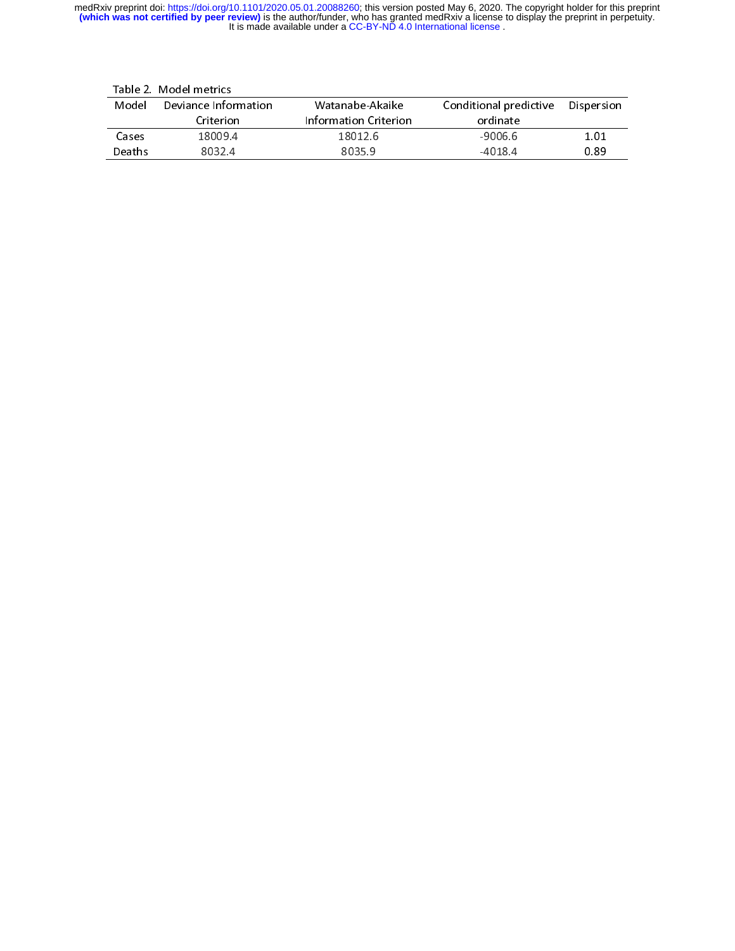|        | Table 2. Model metrics |                       |                        |            |
|--------|------------------------|-----------------------|------------------------|------------|
| Model  | Deviance Information   | Watanabe-Akaike       | Conditional predictive | Dispersion |
|        | Criterion              | Information Criterion | ordinate               |            |
| Cases  | 18009.4                | 18012.6               | $-9006.6$              | 1.01       |
| Deaths | 8032.4                 | 8035.9                | $-4018.4$              | 0.89       |
|        |                        |                       |                        |            |
|        |                        |                       |                        |            |
|        |                        |                       |                        |            |
|        |                        |                       |                        |            |
|        |                        |                       |                        |            |
|        |                        |                       |                        |            |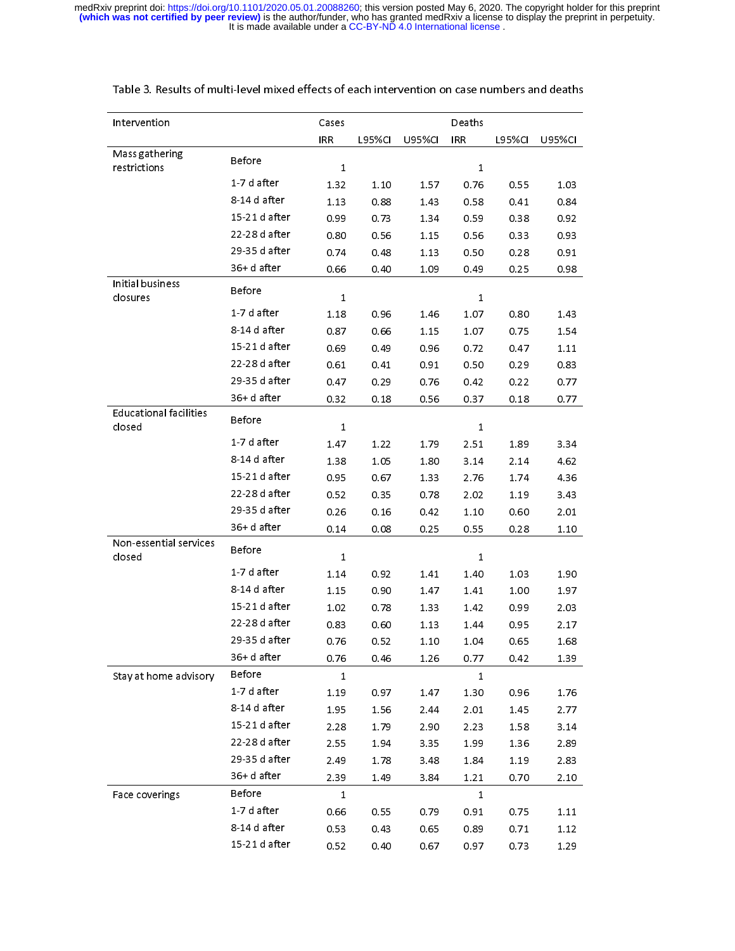| Intervention                            |               | Cases        |               |               | Deaths       |               |               |
|-----------------------------------------|---------------|--------------|---------------|---------------|--------------|---------------|---------------|
|                                         |               | <b>IRR</b>   | <b>L95%CI</b> | <b>U95%CI</b> | <b>IRR</b>   | <b>L95%CI</b> | <b>U95%CI</b> |
| Mass gathering<br>restrictions          | <b>Before</b> | $\mathbf{1}$ |               |               | 1            |               |               |
|                                         | 1 7 d after   | 1.32         | 1.10          | 1.57          | 0.76         | 0.55          | 1.03          |
|                                         | 8-14 d after  | 1.13         | 0.88          | 1.43          | 0.58         | 0.41          | 0.84          |
|                                         | 15 21 d after | 0.99         | 0.73          | 1.34          | 0.59         | 0.38          | 0.92          |
|                                         | 22-28 d after | 0.80         | 0.56          | 1.15          | 0.56         | 0.33          | 0.93          |
|                                         | 29 35 d after | 0.74         | 0.48          | 1.13          | 0.50         | 0.28          | 0.91          |
|                                         | 36+d after    | 0.66         | 0.40          | 1.09          | 0.49         | 0.25          | 0.98          |
| Initial business<br>closures            | <b>Before</b> | $\mathbf{1}$ |               |               | 1            |               |               |
|                                         | 1 7 d after   | 1.18         | 0.96          | 1.46          | 1.07         | 0.80          | 1.43          |
|                                         | 8-14 d after  | 0.87         | 0.66          | 1.15          | 1.07         | 0.75          | 1.54          |
|                                         | 15 21 d after | 0.69         | 0.49          | 0.96          | 0.72         | 0.47          | 1.11          |
|                                         | 22-28 d after | 0.61         | 0.41          | 0.91          | 0.50         | 0.29          | 0.83          |
|                                         | 29-35 d after | 0.47         | 0.29          | 0.76          | 0.42         | 0.22          | 0.77          |
|                                         | 36+d after    | 0.32         | 0.18          | 0.56          | 0.37         | 0.18          | 0.77          |
| <b>Educational facilities</b><br>closed | Before        | $\mathbf{1}$ |               |               | 1            |               |               |
|                                         | 1 7 d after   | 1.47         | 1.22          | 1.79          | 2.51         | 1.89          | 3.34          |
|                                         | 8-14 d after  | 1.38         | 1.05          | 1.80          | 3.14         | 2.14          | 4.62          |
|                                         | 15 21 d after | 0.95         | 0.67          | 1.33          | 2.76         | 1.74          | 4.36          |
|                                         | 22-28 d after | 0.52         | 0.35          | 0.78          | 2.02         | 1.19          | 3.43          |
|                                         | 29 35 d after | 0.26         | 0.16          | 0.42          | 1.10         | 0.60          | 2.01          |
|                                         | 36+d after    | 0.14         | 0.08          | 0.25          | 0.55         | 0.28          | 1.10          |
| Non-essential services<br>closed        | Before        | $\mathbf{1}$ |               |               | 1            |               |               |
|                                         | 1 7 d after   | 1.14         | 0.92          | 1.41          | 1.40         | 1.03          | 1.90          |
|                                         | 8-14 d after  | 1.15         | 0.90          | 1.47          | 1.41         | 1.00          | 1.97          |
|                                         | 15-21 d after | 1.02         | 0.78          | 1.33          | 1.42         | 0.99          | 2.03          |
|                                         | 22-28 d after | 0.83         | 0.60          | 1.13          | 1.44         | 0.95          | 2.17          |
|                                         | 29-35 d after | 0.76         | 0.52          | 1.10          | 1.04         | 0.65          | 1.68          |
|                                         | 36+d after    | 0.76         | 0.46          | 1.26          | 0.77         | 0.42          | 1.39          |
| Stay at home advisory                   | Before        | $\mathbf{1}$ |               |               | $\mathbf{1}$ |               |               |
|                                         | 1-7 d after   | 1.19         | 0.97          | 1.47          | 1.30         | 0.96          | 1.76          |
|                                         | 8-14 d after  | 1.95         | 1.56          | 2.44          | 2.01         | 1.45          | 2.77          |
|                                         | 15-21 d after | 2.28         | 1.79          | 2.90          | 2.23         | 1.58          | 3.14          |
|                                         | 22-28 d after | 2.55         | 1.94          | 3.35          | 1.99         | 1.36          | 2.89          |
|                                         | 29-35 d after | 2.49         | 1.78          | 3.48          | 1.84         | 1.19          | 2.83          |
|                                         | 36+d after    | 2.39         | 1.49          | 3.84          | 1.21         | 0.70          | 2.10          |
| Face coverings                          | Before        | 1            |               |               | 1            |               |               |
|                                         | 1-7 d after   | 0.66         | 0.55          | 0.79          | 0.91         | 0.75          | 1.11          |
|                                         | 8-14 d after  | 0.53         | 0.43          | 0.65          | 0.89         | 0.71          | 1.12          |
|                                         | 15-21 d after | 0.52         | 0.40          | 0.67          | 0.97         | 0.73          | 1.29          |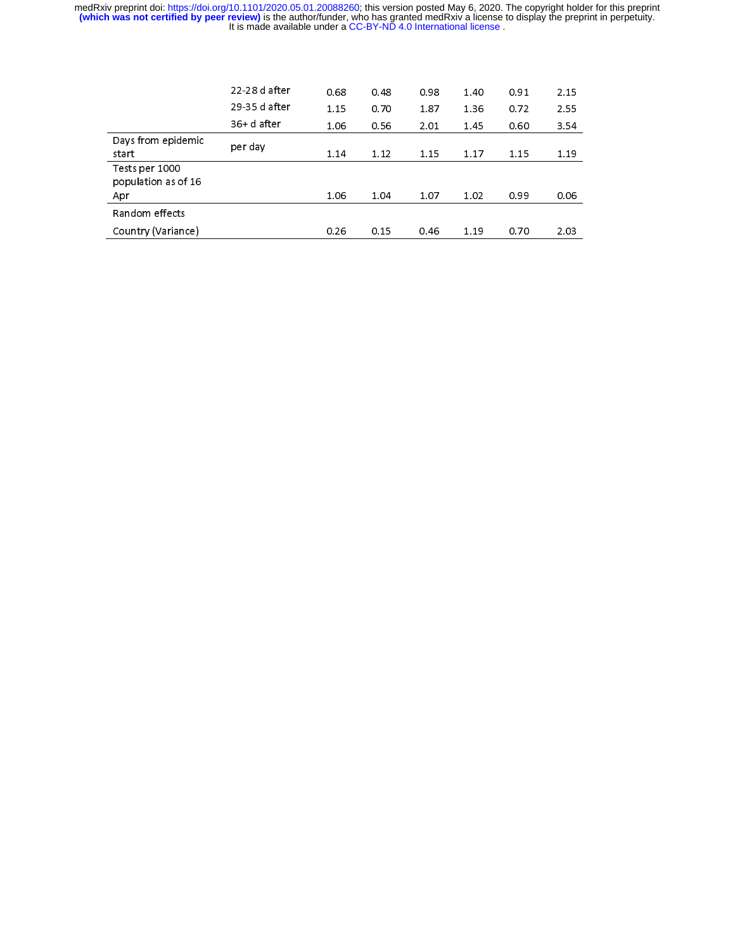|                                       | 22.28 d after  | 0.68 | 0.48 | 0.98 | 1.40 | 0.91 | 2.15 |
|---------------------------------------|----------------|------|------|------|------|------|------|
|                                       | 29.35 d after  | 1.15 | 0.70 | 1.87 | 1.36 | 0.72 | 2.55 |
|                                       | $36 + d$ after | 1.06 | 0.56 | 2.01 | 1.45 | 0.60 | 3.54 |
| Days from epidemic                    | per day        |      |      |      |      |      |      |
| start                                 |                | 1.14 | 1.12 | 1.15 | 1.17 | 1.15 | 1.19 |
| Tests per 1000<br>population as of 16 |                |      |      |      |      |      |      |
| Apr                                   |                | 1.06 | 1.04 | 1.07 | 1.02 | 0.99 | 0.06 |
| Random effects                        |                |      |      |      |      |      |      |
| Country (Variance)                    |                | 0.26 | 0.15 | 0.46 | 1.19 | 0.70 | 2.03 |
|                                       |                |      |      |      |      |      |      |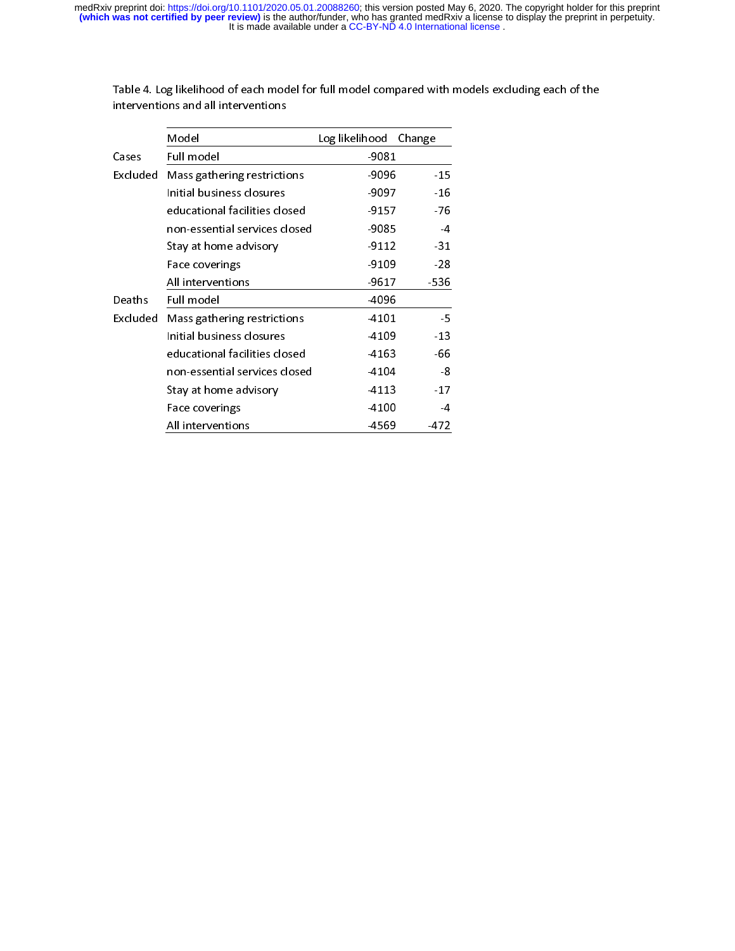|          | Model                         | Log likelihood | Change |
|----------|-------------------------------|----------------|--------|
| Cases    | Full model                    | $-9081$        |        |
| Excluded | Mass gathering restrictions   | $-9096$        | $-15$  |
|          | Initial business closures     | -9097          | $-16$  |
|          | educational facilities closed | $-9157$        | $-76$  |
|          | non-essential services closed | -9085          | $-4$   |
|          | Stay at home advisory         | $-9112$        | $-31$  |
|          | Face coverings                | $-9109$        | $-28$  |
|          | All interventions             | $-9617$        | -536   |
| Deaths   | Full model                    | $-4096$        |        |
| Excluded | Mass gathering restrictions   | 4101           | $-5$   |
|          | Initial business closures     | -4109          | $-13$  |
|          | educational facilities closed | -4163          | -66    |
|          | non-essential services closed | -4104          | -8     |
|          | Stay at home advisory         | $-4113$        | $-17$  |
|          | Face coverings                | -4100          | $-4$   |
|          | All interventions             | -4569          | $-472$ |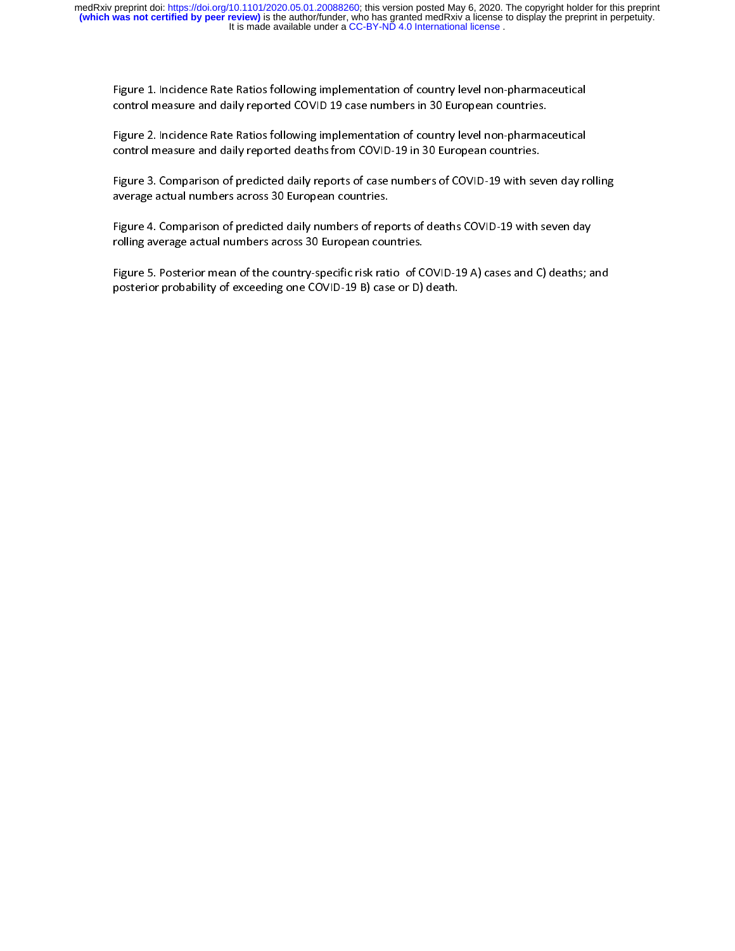control measure and daily reported deaths from COVID-19 in 30 European countries.

Figure 1. Incidence Rate Ratios following implementation of country level non-pharmaceutical<br>control measure and daily reported COVID 19 case numbers in 30 European countries.<br>Figure 2. Incidence Rate Ratios following impl |<br>|<br>|<br>| Figure 2. Incidence and daily reported deaths from COVID-19 in 30 European countries.<br>Figure 3. Comparison of predicted daily reports of case numbers of COVID-19 with seven day re<br>average actual numbers across 30 European Figure 3. Comparison of predicted daily reports of case numbers of COVID-19 with sev<br>average actual numbers across 30 European countries.<br>Figure 4. Comparison of predicted daily numbers of reports of deaths COVID-19 with s |<br>| a<br>|

Figure 3. Comparison of predicted daily numbers of reports of deaths COVID-19 with seven day<br>Figure 4. Comparison of predicted daily numbers of reports of deaths COVID-19 with seven day<br>rolling average actual numbers acros

Figure 4. Comparison of predicted daily numbers of rep<br>rolling average actual numbers across 30 European cou<br>Figure 5. Posterior mean of the country-specific risk rati<br>posterior probability of exceeding one COVID-19 B) cas |<br>|<br>|<br>| rolling average actual numbers across 30 European countries.<br>Figure 5. Posterior mean of the country-specific risk ratio of COVID-19 A) cases and C) deaths; a<br>posterior probability of exceeding one COVID-19 B) case or D) d Figure 5. Posterior mean of the country-specific risk ratio of C<br>posterior probability of exceeding one COVID-19 B) case or D)<br>Displaces are D |<br>|} Figure 5. Posterior mean of the country-specific risk ratio of the country-specific risk ratio of exceeding one COVID-19 B) case or D) death.<br>posterior probability of exceeding one COVID-19 B) case or D) death. posterior probability of exceeding one COVID-19 B) case or D) death.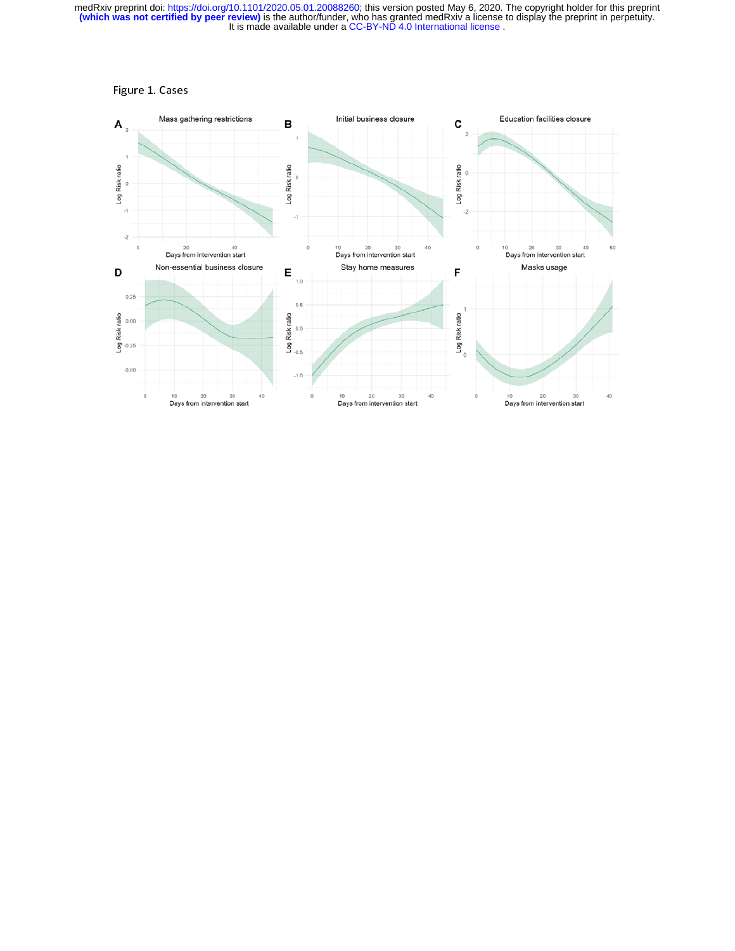

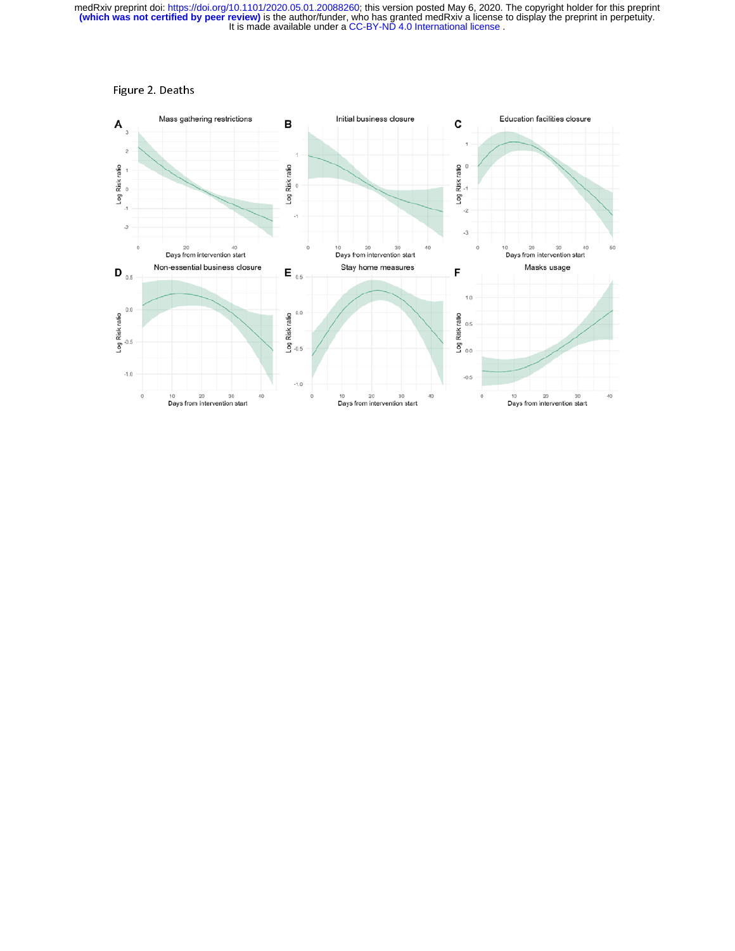

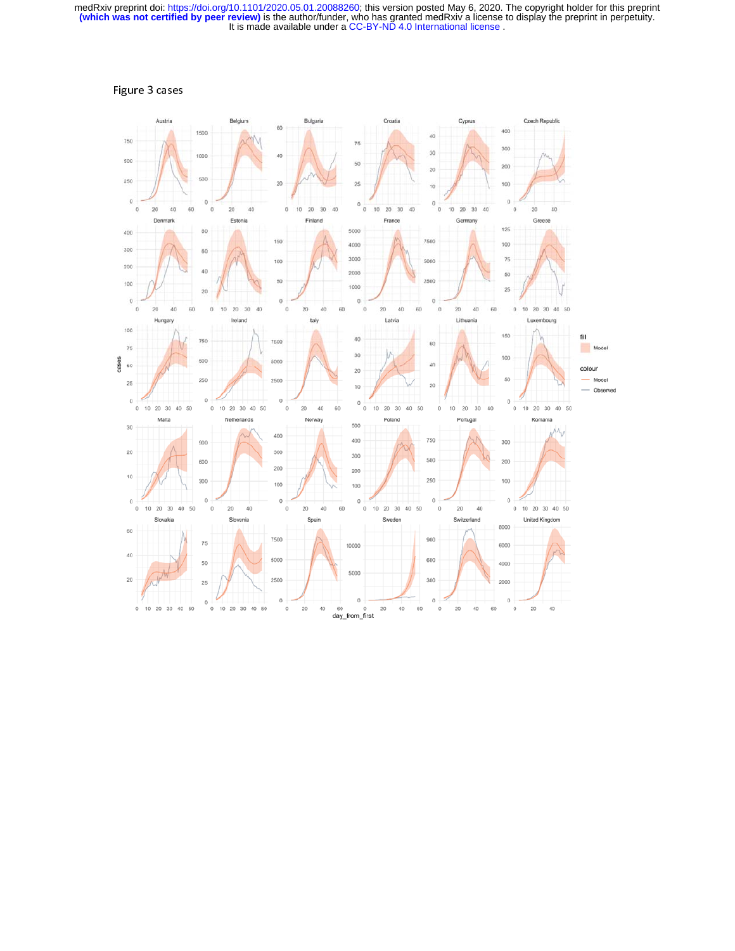

Figure 3 cases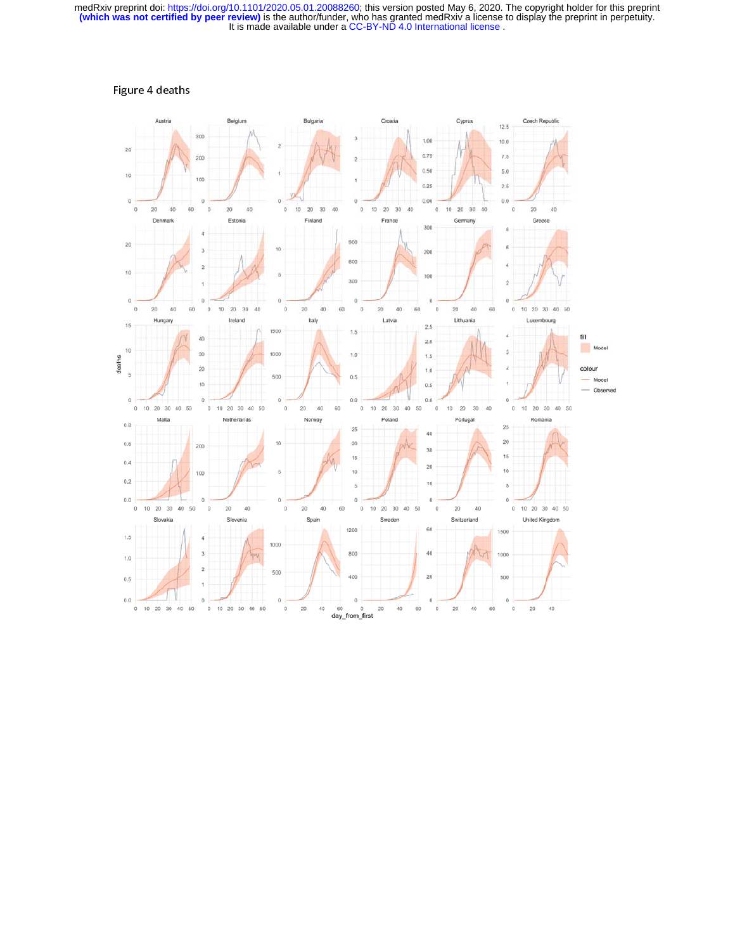

### Figure 4 deaths